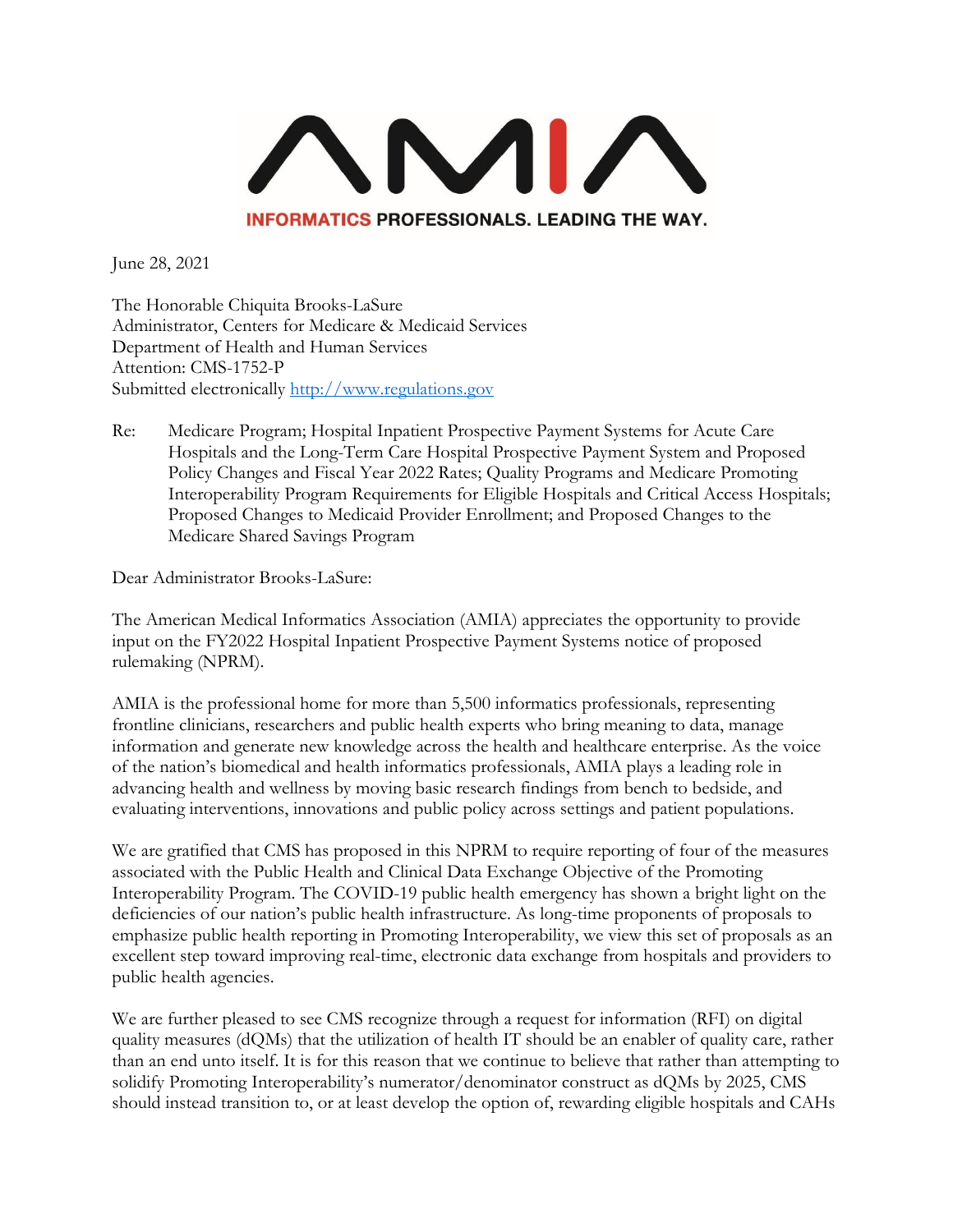

The Honorable Chiquita Brooks-LaSure Administrator, Centers for Medicare & Medicaid Services Department of Health and Human Services Attention: CMS-1752-P Submitted electronically [http://www.regulations.gov](http://www.regulations.gov/)

Re: Medicare Program; Hospital Inpatient Prospective Payment Systems for Acute Care Hospitals and the Long-Term Care Hospital Prospective Payment System and Proposed Policy Changes and Fiscal Year 2022 Rates; Quality Programs and Medicare Promoting Interoperability Program Requirements for Eligible Hospitals and Critical Access Hospitals; Proposed Changes to Medicaid Provider Enrollment; and Proposed Changes to the Medicare Shared Savings Program

Dear Administrator Brooks-LaSure:

The American Medical Informatics Association (AMIA) appreciates the opportunity to provide input on the FY2022 Hospital Inpatient Prospective Payment Systems notice of proposed rulemaking (NPRM).

AMIA is the professional home for more than 5,500 informatics professionals, representing frontline clinicians, researchers and public health experts who bring meaning to data, manage information and generate new knowledge across the health and healthcare enterprise. As the voice of the nation's biomedical and health informatics professionals, AMIA plays a leading role in advancing health and wellness by moving basic research findings from bench to bedside, and evaluating interventions, innovations and public policy across settings and patient populations.

We are gratified that CMS has proposed in this NPRM to require reporting of four of the measures associated with the Public Health and Clinical Data Exchange Objective of the Promoting Interoperability Program. The COVID-19 public health emergency has shown a bright light on the deficiencies of our nation's public health infrastructure. As long-time proponents of proposals to emphasize public health reporting in Promoting Interoperability, we view this set of proposals as an excellent step toward improving real-time, electronic data exchange from hospitals and providers to public health agencies.

We are further pleased to see CMS recognize through a request for information (RFI) on digital quality measures (dQMs) that the utilization of health IT should be an enabler of quality care, rather than an end unto itself. It is for this reason that we continue to believe that rather than attempting to solidify Promoting Interoperability's numerator/denominator construct as dQMs by 2025, CMS should instead transition to, or at least develop the option of, rewarding eligible hospitals and CAHs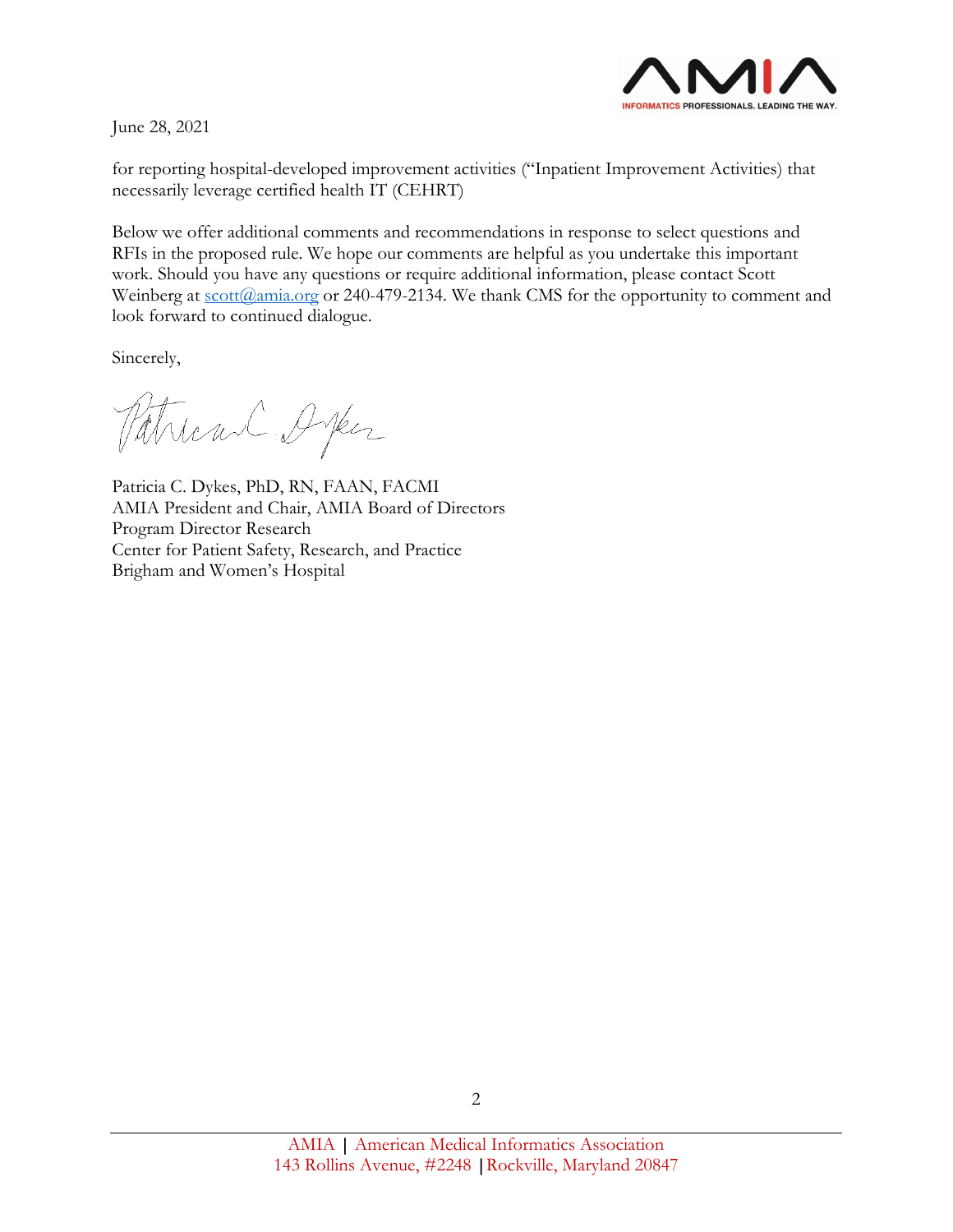

for reporting hospital-developed improvement activities ("Inpatient Improvement Activities) that necessarily leverage certified health IT (CEHRT)

Below we offer additional comments and recommendations in response to select questions and RFIs in the proposed rule. We hope our comments are helpful as you undertake this important work. Should you have any questions or require additional information, please contact Scott Weinberg at [scott@amia.org](mailto:scott@amia.org) or 240-479-2134. We thank CMS for the opportunity to comment and look forward to continued dialogue.

Sincerely,

Patrican Orper

Patricia C. Dykes, PhD, RN, FAAN, FACMI AMIA President and Chair, AMIA Board of Directors Program Director Research Center for Patient Safety, Research, and Practice Brigham and Women's Hospital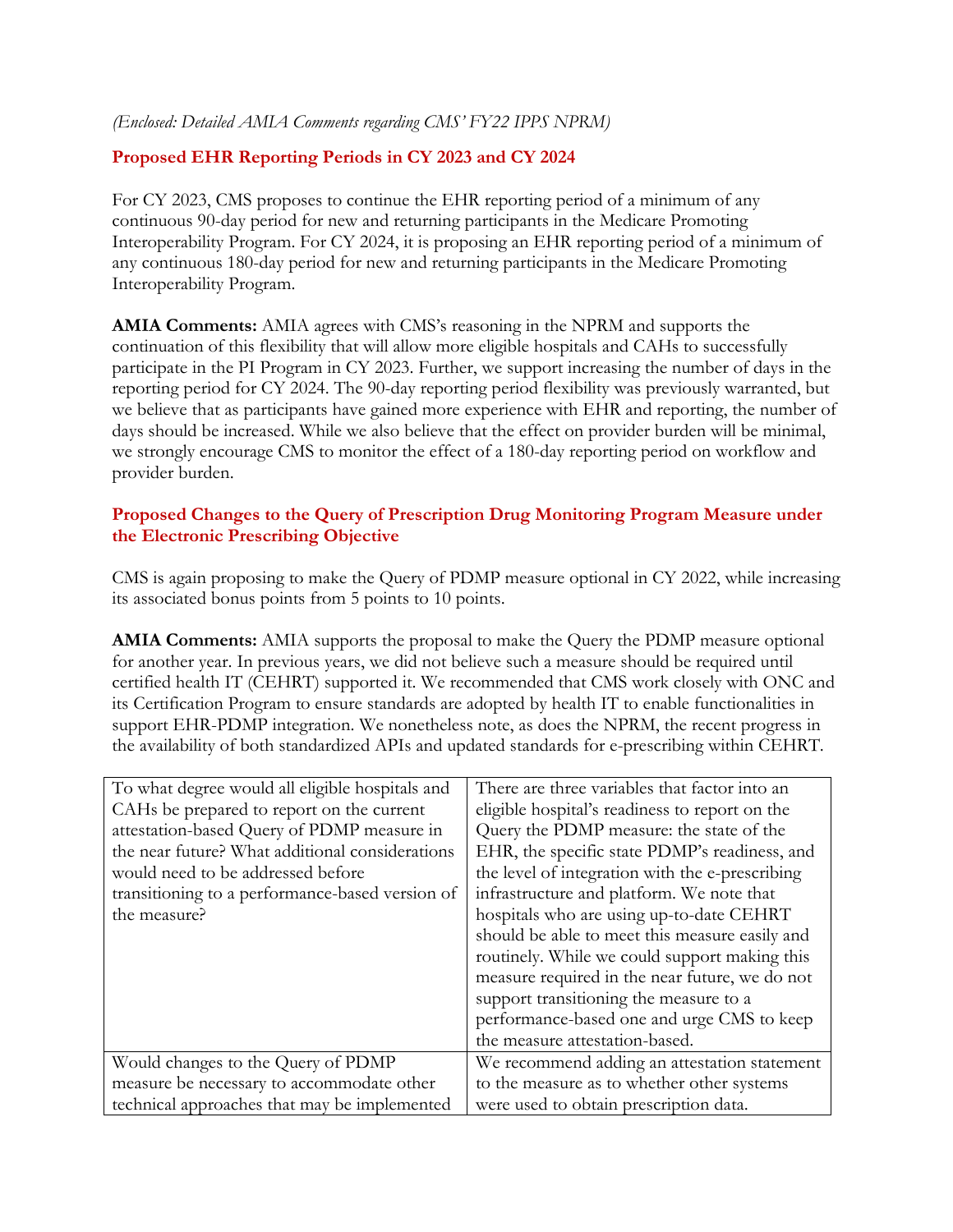*(Enclosed: Detailed AMIA Comments regarding CMS' FY22 IPPS NPRM)*

## **Proposed EHR Reporting Periods in CY 2023 and CY 2024**

For CY 2023, CMS proposes to continue the EHR reporting period of a minimum of any continuous 90-day period for new and returning participants in the Medicare Promoting Interoperability Program. For CY 2024, it is proposing an EHR reporting period of a minimum of any continuous 180-day period for new and returning participants in the Medicare Promoting Interoperability Program.

**AMIA Comments:** AMIA agrees with CMS's reasoning in the NPRM and supports the continuation of this flexibility that will allow more eligible hospitals and CAHs to successfully participate in the PI Program in CY 2023. Further, we support increasing the number of days in the reporting period for CY 2024. The 90-day reporting period flexibility was previously warranted, but we believe that as participants have gained more experience with EHR and reporting, the number of days should be increased. While we also believe that the effect on provider burden will be minimal, we strongly encourage CMS to monitor the effect of a 180-day reporting period on workflow and provider burden.

### **Proposed Changes to the Query of Prescription Drug Monitoring Program Measure under the Electronic Prescribing Objective**

CMS is again proposing to make the Query of PDMP measure optional in CY 2022, while increasing its associated bonus points from 5 points to 10 points.

**AMIA Comments:** AMIA supports the proposal to make the Query the PDMP measure optional for another year. In previous years, we did not believe such a measure should be required until certified health IT (CEHRT) supported it. We recommended that CMS work closely with ONC and its Certification Program to ensure standards are adopted by health IT to enable functionalities in support EHR-PDMP integration. We nonetheless note, as does the NPRM, the recent progress in the availability of both standardized APIs and updated standards for e-prescribing within CEHRT.

| To what degree would all eligible hospitals and | There are three variables that factor into an   |
|-------------------------------------------------|-------------------------------------------------|
| CAHs be prepared to report on the current       | eligible hospital's readiness to report on the  |
| attestation-based Query of PDMP measure in      | Query the PDMP measure: the state of the        |
| the near future? What additional considerations | EHR, the specific state PDMP's readiness, and   |
| would need to be addressed before               | the level of integration with the e-prescribing |
| transitioning to a performance-based version of | infrastructure and platform. We note that       |
| the measure?                                    | hospitals who are using up-to-date CEHRT        |
|                                                 | should be able to meet this measure easily and  |
|                                                 | routinely. While we could support making this   |
|                                                 | measure required in the near future, we do not  |
|                                                 | support transitioning the measure to a          |
|                                                 | performance-based one and urge CMS to keep      |
|                                                 | the measure attestation-based.                  |
| Would changes to the Query of PDMP              | We recommend adding an attestation statement    |
| measure be necessary to accommodate other       | to the measure as to whether other systems      |
| technical approaches that may be implemented    | were used to obtain prescription data.          |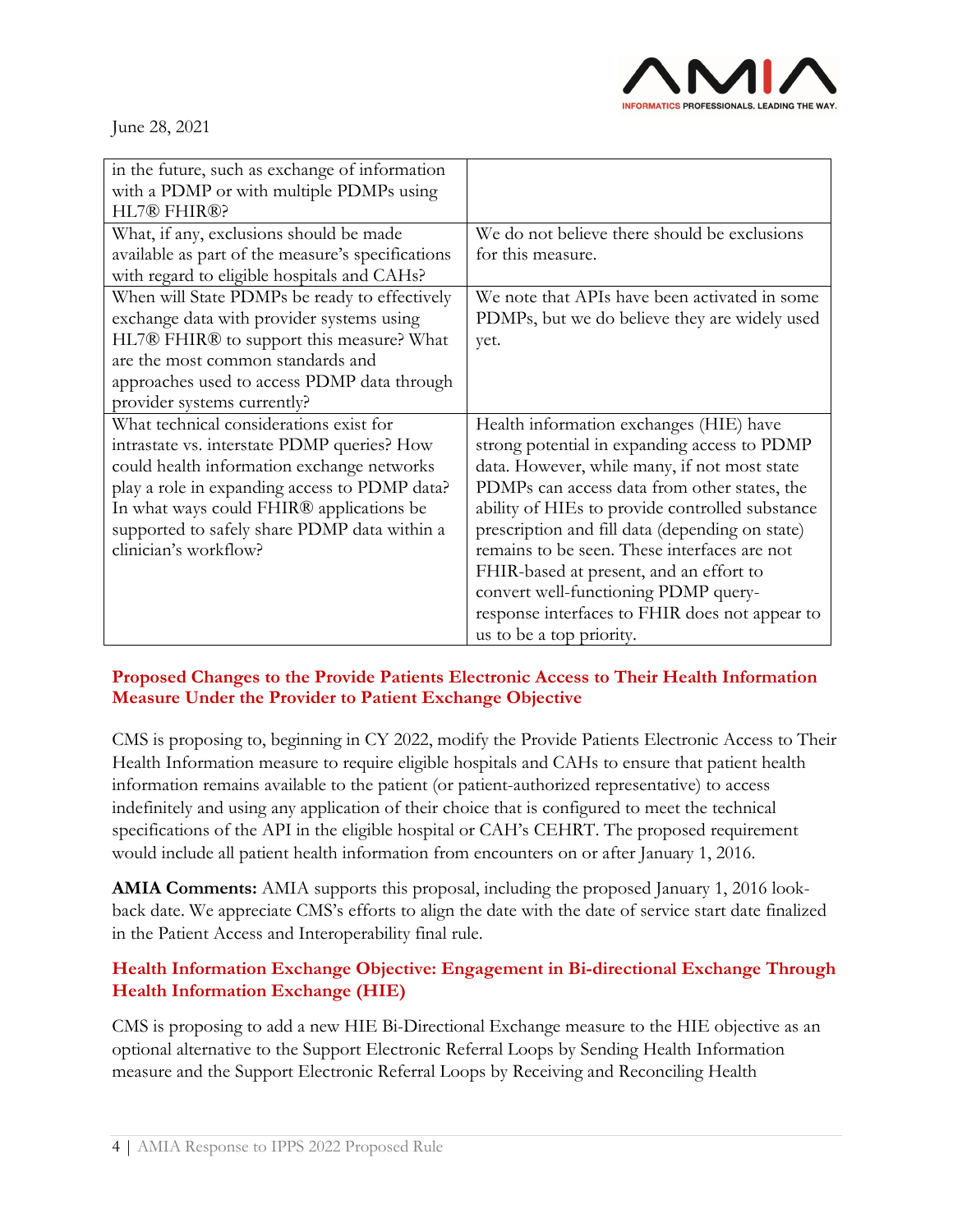

| in the future, such as exchange of information<br>with a PDMP or with multiple PDMPs using<br>HL7® FHIR®? |                                                 |
|-----------------------------------------------------------------------------------------------------------|-------------------------------------------------|
| What, if any, exclusions should be made                                                                   | We do not believe there should be exclusions    |
| available as part of the measure's specifications                                                         | for this measure.                               |
| with regard to eligible hospitals and CAHs?                                                               |                                                 |
| When will State PDMPs be ready to effectively                                                             | We note that APIs have been activated in some   |
| exchange data with provider systems using                                                                 | PDMPs, but we do believe they are widely used   |
| HL7® FHIR® to support this measure? What                                                                  | yet.                                            |
| are the most common standards and                                                                         |                                                 |
| approaches used to access PDMP data through                                                               |                                                 |
| provider systems currently?                                                                               |                                                 |
| What technical considerations exist for                                                                   | Health information exchanges (HIE) have         |
| intrastate vs. interstate PDMP queries? How                                                               | strong potential in expanding access to PDMP    |
| could health information exchange networks                                                                | data. However, while many, if not most state    |
| play a role in expanding access to PDMP data?                                                             | PDMPs can access data from other states, the    |
| In what ways could FHIR® applications be                                                                  | ability of HIEs to provide controlled substance |
| supported to safely share PDMP data within a                                                              | prescription and fill data (depending on state) |
| clinician's workflow?                                                                                     | remains to be seen. These interfaces are not    |
|                                                                                                           | FHIR-based at present, and an effort to         |
|                                                                                                           | convert well-functioning PDMP query-            |
|                                                                                                           | response interfaces to FHIR does not appear to  |
|                                                                                                           | us to be a top priority.                        |

### **Proposed Changes to the Provide Patients Electronic Access to Their Health Information Measure Under the Provider to Patient Exchange Objective**

CMS is proposing to, beginning in CY 2022, modify the Provide Patients Electronic Access to Their Health Information measure to require eligible hospitals and CAHs to ensure that patient health information remains available to the patient (or patient-authorized representative) to access indefinitely and using any application of their choice that is configured to meet the technical specifications of the API in the eligible hospital or CAH's CEHRT. The proposed requirement would include all patient health information from encounters on or after January 1, 2016.

**AMIA Comments:** AMIA supports this proposal, including the proposed January 1, 2016 lookback date. We appreciate CMS's efforts to align the date with the date of service start date finalized in the Patient Access and Interoperability final rule.

# **Health Information Exchange Objective: Engagement in Bi-directional Exchange Through Health Information Exchange (HIE)**

CMS is proposing to add a new HIE Bi-Directional Exchange measure to the HIE objective as an optional alternative to the Support Electronic Referral Loops by Sending Health Information measure and the Support Electronic Referral Loops by Receiving and Reconciling Health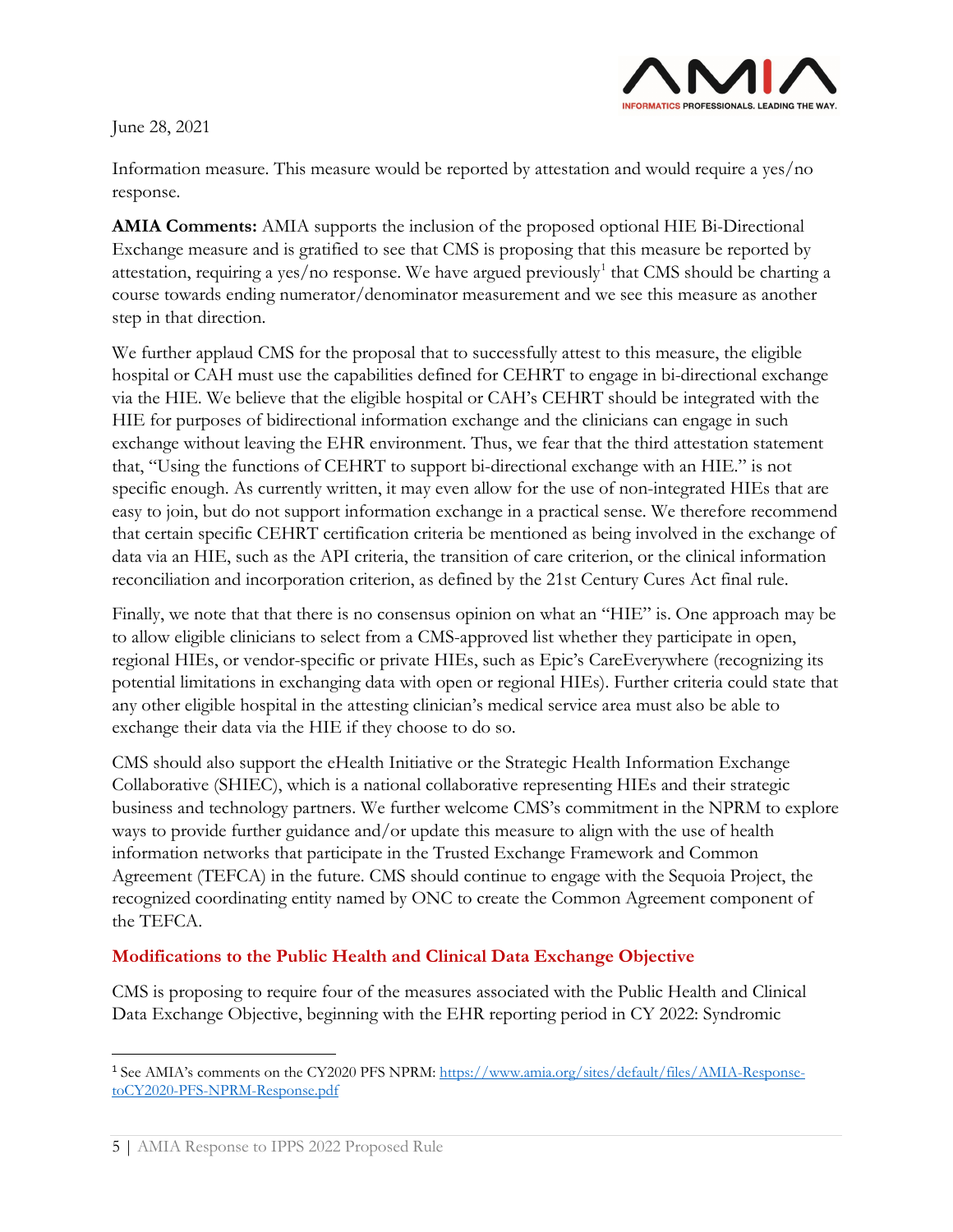

Information measure. This measure would be reported by attestation and would require a yes/no response.

**AMIA Comments:** AMIA supports the inclusion of the proposed optional HIE Bi-Directional Exchange measure and is gratified to see that CMS is proposing that this measure be reported by attestation, requiring a yes/no response. We have argued previously<sup>[1](#page-4-0)</sup> that CMS should be charting a course towards ending numerator/denominator measurement and we see this measure as another step in that direction.

We further applaud CMS for the proposal that to successfully attest to this measure, the eligible hospital or CAH must use the capabilities defined for CEHRT to engage in bi-directional exchange via the HIE. We believe that the eligible hospital or CAH's CEHRT should be integrated with the HIE for purposes of bidirectional information exchange and the clinicians can engage in such exchange without leaving the EHR environment. Thus, we fear that the third attestation statement that, "Using the functions of CEHRT to support bi-directional exchange with an HIE." is not specific enough. As currently written, it may even allow for the use of non-integrated HIEs that are easy to join, but do not support information exchange in a practical sense. We therefore recommend that certain specific CEHRT certification criteria be mentioned as being involved in the exchange of data via an HIE, such as the API criteria, the transition of care criterion, or the clinical information reconciliation and incorporation criterion, as defined by the 21st Century Cures Act final rule.

Finally, we note that that there is no consensus opinion on what an "HIE" is. One approach may be to allow eligible clinicians to select from a CMS-approved list whether they participate in open, regional HIEs, or vendor-specific or private HIEs, such as Epic's CareEverywhere (recognizing its potential limitations in exchanging data with open or regional HIEs). Further criteria could state that any other eligible hospital in the attesting clinician's medical service area must also be able to exchange their data via the HIE if they choose to do so.

CMS should also support the eHealth Initiative or the Strategic Health Information Exchange Collaborative (SHIEC), which is a national collaborative representing HIEs and their strategic business and technology partners. We further welcome CMS's commitment in the NPRM to explore ways to provide further guidance and/or update this measure to align with the use of health information networks that participate in the Trusted Exchange Framework and Common Agreement (TEFCA) in the future. CMS should continue to engage with the Sequoia Project, the recognized coordinating entity named by ONC to create the Common Agreement component of the TEFCA.

### **Modifications to the Public Health and Clinical Data Exchange Objective**

CMS is proposing to require four of the measures associated with the Public Health and Clinical Data Exchange Objective, beginning with the EHR reporting period in CY 2022: Syndromic

<span id="page-4-0"></span><sup>1</sup> See AMIA's comments on the CY2020 PFS NPRM[: https://www.amia.org/sites/default/files/AMIA-Response](https://www.amia.org/sites/default/files/AMIA-Response-toCY2020-PFS-NPRM-Response.pdf)[toCY2020-PFS-NPRM-Response.pdf](https://www.amia.org/sites/default/files/AMIA-Response-toCY2020-PFS-NPRM-Response.pdf)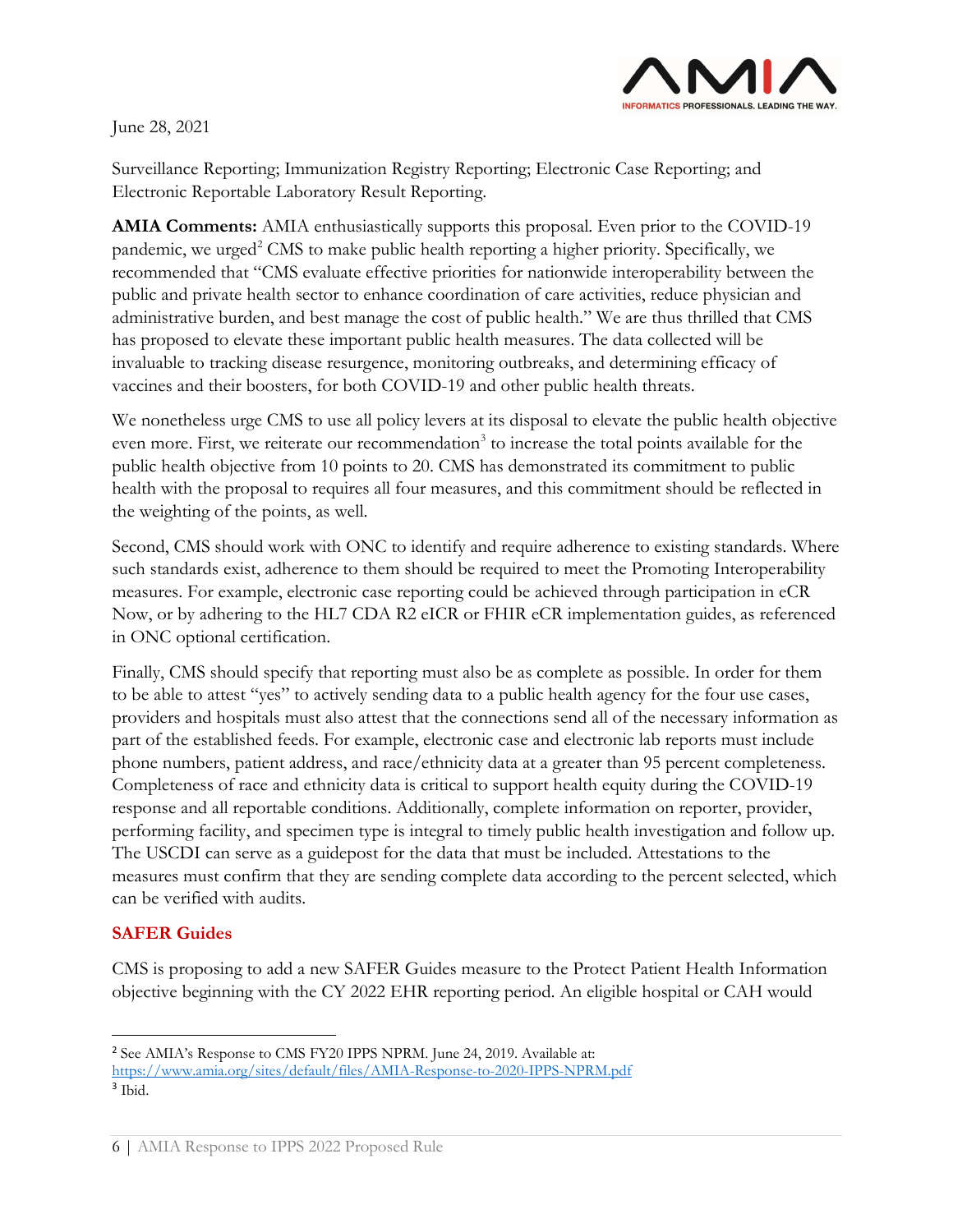

Surveillance Reporting; Immunization Registry Reporting; Electronic Case Reporting; and Electronic Reportable Laboratory Result Reporting.

**AMIA Comments:** AMIA enthusiastically supports this proposal. Even prior to the COVID-19 pandemic, we urged<sup>2</sup> CMS to make public health reporting a higher priority. Specifically, we recommended that "CMS evaluate effective priorities for nationwide interoperability between the public and private health sector to enhance coordination of care activities, reduce physician and administrative burden, and best manage the cost of public health." We are thus thrilled that CMS has proposed to elevate these important public health measures. The data collected will be invaluable to tracking disease resurgence, monitoring outbreaks, and determining efficacy of vaccines and their boosters, for both COVID-19 and other public health threats.

We nonetheless urge CMS to use all policy levers at its disposal to elevate the public health objective even more. First, we reiterate our recommendation<sup>[3](#page-5-1)</sup> to increase the total points available for the public health objective from 10 points to 20. CMS has demonstrated its commitment to public health with the proposal to requires all four measures, and this commitment should be reflected in the weighting of the points, as well.

Second, CMS should work with ONC to identify and require adherence to existing standards. Where such standards exist, adherence to them should be required to meet the Promoting Interoperability measures. For example, electronic case reporting could be achieved through participation in eCR Now, or by adhering to the HL7 CDA R2 eICR or FHIR eCR implementation guides, as referenced in ONC optional certification.

Finally, CMS should specify that reporting must also be as complete as possible. In order for them to be able to attest "yes" to actively sending data to a public health agency for the four use cases, providers and hospitals must also attest that the connections send all of the necessary information as part of the established feeds. For example, electronic case and electronic lab reports must include phone numbers, patient address, and race/ethnicity data at a greater than 95 percent completeness. Completeness of race and ethnicity data is critical to support health equity during the COVID-19 response and all reportable conditions. Additionally, complete information on reporter, provider, performing facility, and specimen type is integral to timely public health investigation and follow up. The USCDI can serve as a guidepost for the data that must be included. Attestations to the measures must confirm that they are sending complete data according to the percent selected, which can be verified with audits.

# **SAFER Guides**

CMS is proposing to add a new SAFER Guides measure to the Protect Patient Health Information objective beginning with the CY 2022 EHR reporting period. An eligible hospital or CAH would

<span id="page-5-1"></span><span id="page-5-0"></span><sup>2</sup> See AMIA's Response to CMS FY20 IPPS NPRM. June 24, 2019. Available at: <https://www.amia.org/sites/default/files/AMIA-Response-to-2020-IPPS-NPRM.pdf> <sup>3</sup> Ibid.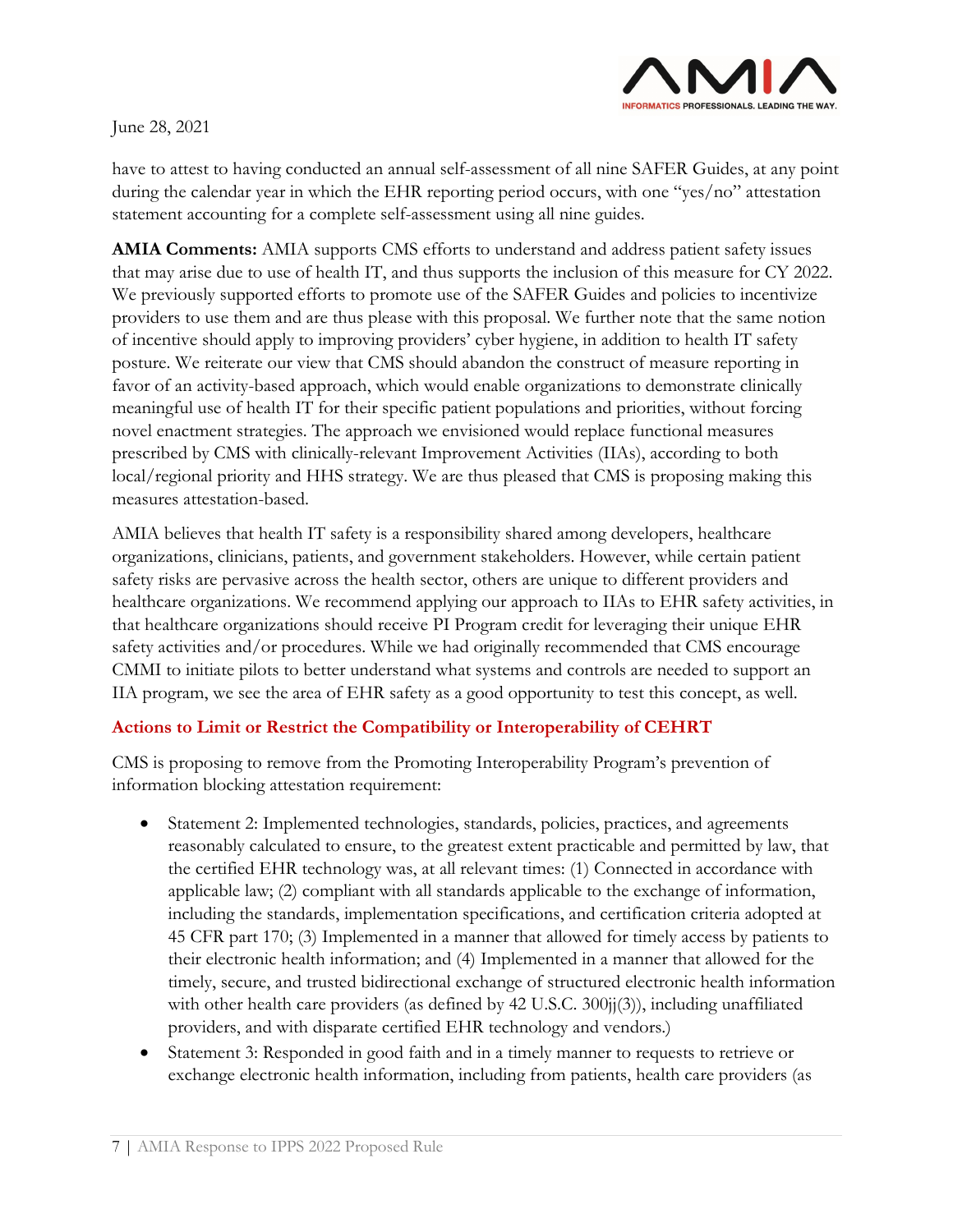

have to attest to having conducted an annual self-assessment of all nine SAFER Guides, at any point during the calendar year in which the EHR reporting period occurs, with one "yes/no" attestation statement accounting for a complete self-assessment using all nine guides.

**AMIA Comments:** AMIA supports CMS efforts to understand and address patient safety issues that may arise due to use of health IT, and thus supports the inclusion of this measure for CY 2022. We previously supported efforts to promote use of the SAFER Guides and policies to incentivize providers to use them and are thus please with this proposal. We further note that the same notion of incentive should apply to improving providers' cyber hygiene, in addition to health IT safety posture. We reiterate our view that CMS should abandon the construct of measure reporting in favor of an activity-based approach, which would enable organizations to demonstrate clinically meaningful use of health IT for their specific patient populations and priorities, without forcing novel enactment strategies. The approach we envisioned would replace functional measures prescribed by CMS with clinically-relevant Improvement Activities (IIAs), according to both local/regional priority and HHS strategy. We are thus pleased that CMS is proposing making this measures attestation-based.

AMIA believes that health IT safety is a responsibility shared among developers, healthcare organizations, clinicians, patients, and government stakeholders. However, while certain patient safety risks are pervasive across the health sector, others are unique to different providers and healthcare organizations. We recommend applying our approach to IIAs to EHR safety activities, in that healthcare organizations should receive PI Program credit for leveraging their unique EHR safety activities and/or procedures. While we had originally recommended that CMS encourage CMMI to initiate pilots to better understand what systems and controls are needed to support an IIA program, we see the area of EHR safety as a good opportunity to test this concept, as well.

# **Actions to Limit or Restrict the Compatibility or Interoperability of CEHRT**

CMS is proposing to remove from the Promoting Interoperability Program's prevention of information blocking attestation requirement:

- Statement 2: Implemented technologies, standards, policies, practices, and agreements reasonably calculated to ensure, to the greatest extent practicable and permitted by law, that the certified EHR technology was, at all relevant times: (1) Connected in accordance with applicable law; (2) compliant with all standards applicable to the exchange of information, including the standards, implementation specifications, and certification criteria adopted at 45 CFR part 170; (3) Implemented in a manner that allowed for timely access by patients to their electronic health information; and (4) Implemented in a manner that allowed for the timely, secure, and trusted bidirectional exchange of structured electronic health information with other health care providers (as defined by 42 U.S.C. 300jj(3)), including unaffiliated providers, and with disparate certified EHR technology and vendors.)
- Statement 3: Responded in good faith and in a timely manner to requests to retrieve or exchange electronic health information, including from patients, health care providers (as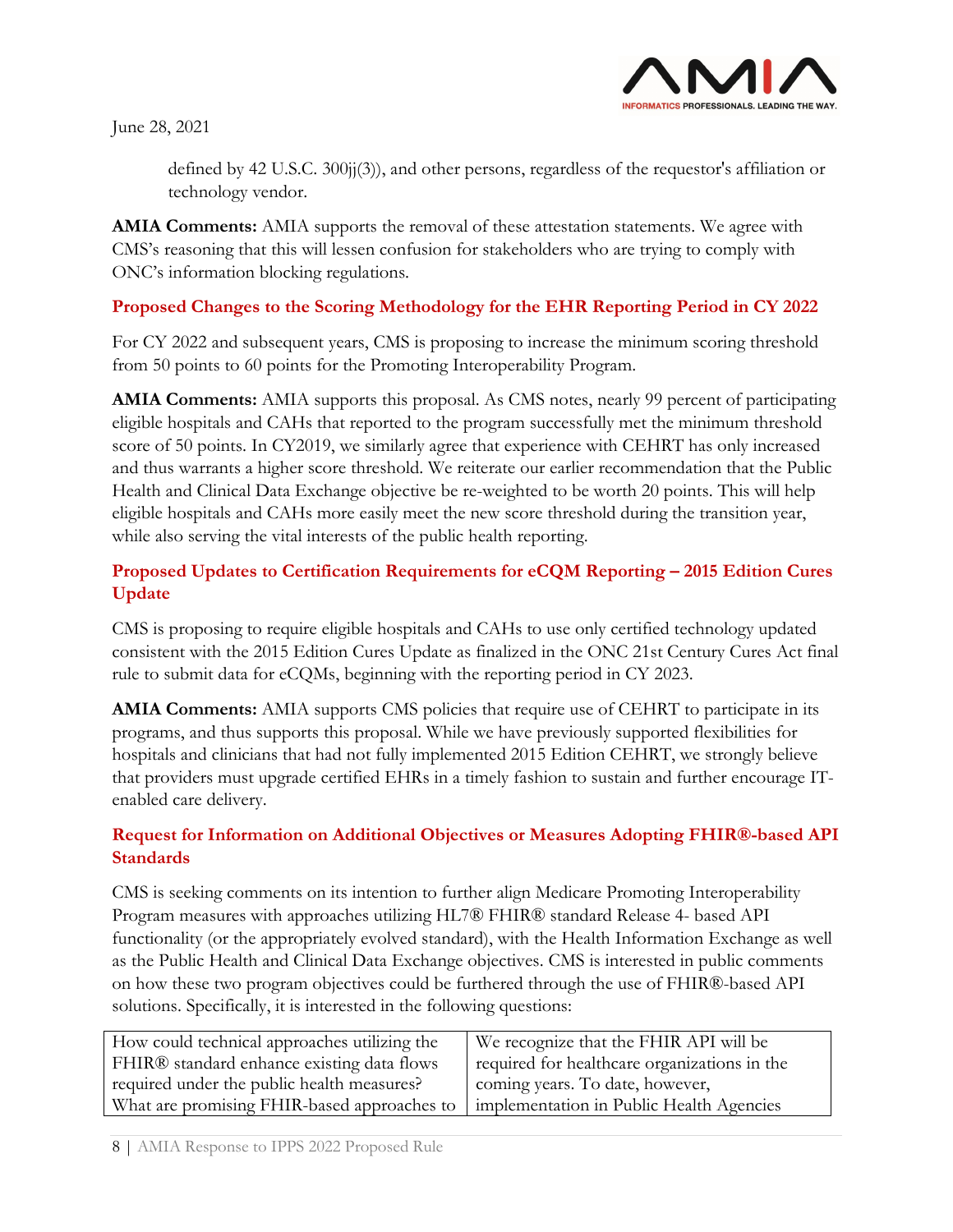

defined by 42 U.S.C. 300jj(3)), and other persons, regardless of the requestor's affiliation or technology vendor.

**AMIA Comments:** AMIA supports the removal of these attestation statements. We agree with CMS's reasoning that this will lessen confusion for stakeholders who are trying to comply with ONC's information blocking regulations.

## **Proposed Changes to the Scoring Methodology for the EHR Reporting Period in CY 2022**

For CY 2022 and subsequent years, CMS is proposing to increase the minimum scoring threshold from 50 points to 60 points for the Promoting Interoperability Program.

**AMIA Comments:** AMIA supports this proposal. As CMS notes, nearly 99 percent of participating eligible hospitals and CAHs that reported to the program successfully met the minimum threshold score of 50 points. In CY2019, we similarly agree that experience with CEHRT has only increased and thus warrants a higher score threshold. We reiterate our earlier recommendation that the Public Health and Clinical Data Exchange objective be re-weighted to be worth 20 points. This will help eligible hospitals and CAHs more easily meet the new score threshold during the transition year, while also serving the vital interests of the public health reporting.

# **Proposed Updates to Certification Requirements for eCQM Reporting – 2015 Edition Cures Update**

CMS is proposing to require eligible hospitals and CAHs to use only certified technology updated consistent with the 2015 Edition Cures Update as finalized in the ONC 21st Century Cures Act final rule to submit data for eCQMs, beginning with the reporting period in CY 2023.

**AMIA Comments:** AMIA supports CMS policies that require use of CEHRT to participate in its programs, and thus supports this proposal. While we have previously supported flexibilities for hospitals and clinicians that had not fully implemented 2015 Edition CEHRT, we strongly believe that providers must upgrade certified EHRs in a timely fashion to sustain and further encourage ITenabled care delivery.

## **Request for Information on Additional Objectives or Measures Adopting FHIR®-based API Standards**

CMS is seeking comments on its intention to further align Medicare Promoting Interoperability Program measures with approaches utilizing HL7® FHIR® standard Release 4- based API functionality (or the appropriately evolved standard), with the Health Information Exchange as well as the Public Health and Clinical Data Exchange objectives. CMS is interested in public comments on how these two program objectives could be furthered through the use of FHIR®-based API solutions. Specifically, it is interested in the following questions:

| How could technical approaches utilizing the | We recognize that the FHIR API will be       |
|----------------------------------------------|----------------------------------------------|
| FHIR® standard enhance existing data flows   | required for healthcare organizations in the |
| required under the public health measures?   | coming years. To date, however,              |
| What are promising FHIR-based approaches to  | implementation in Public Health Agencies     |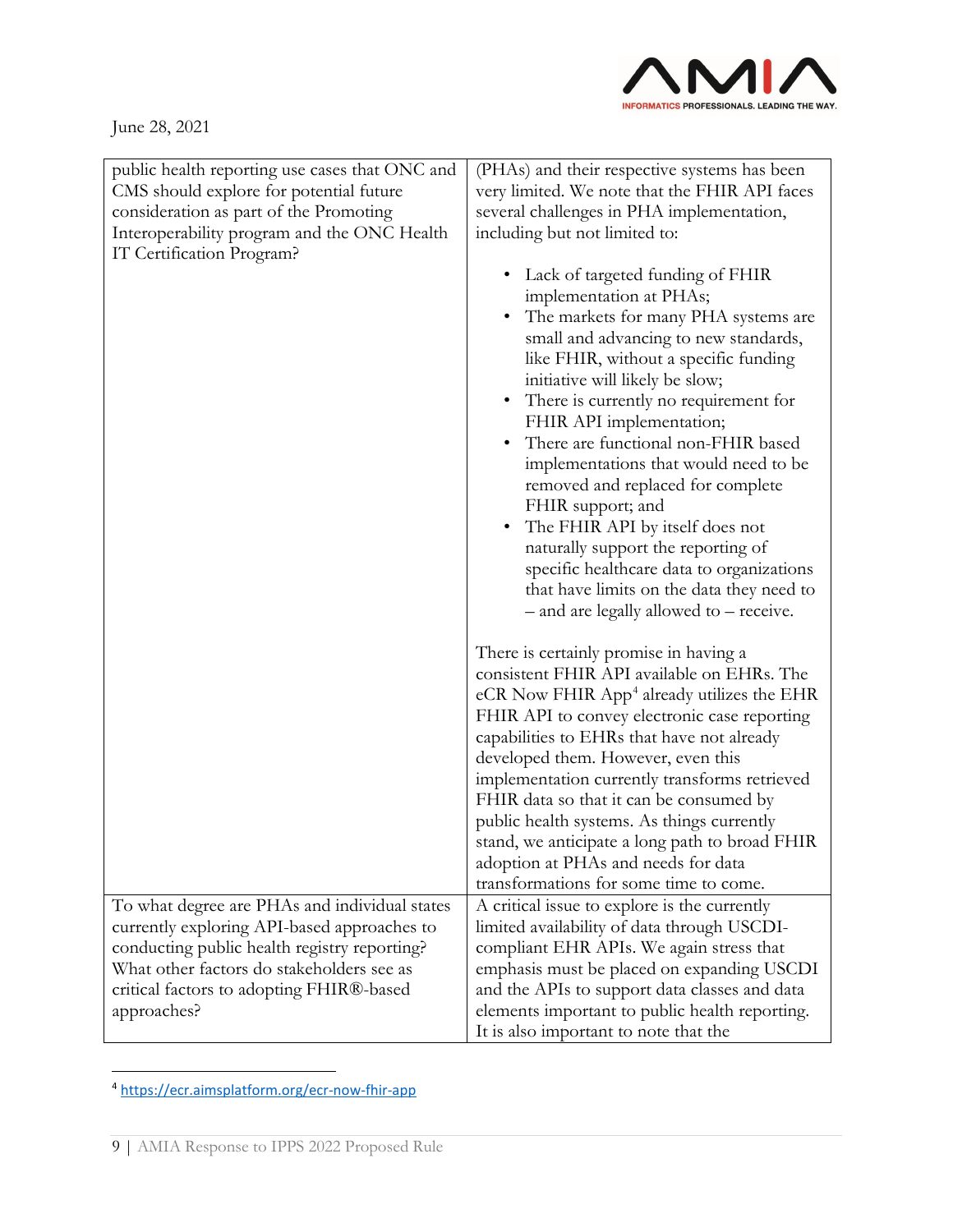

| public health reporting use cases that ONC and<br>CMS should explore for potential future<br>consideration as part of the Promoting<br>Interoperability program and the ONC Health<br>IT Certification Program? | (PHAs) and their respective systems has been<br>very limited. We note that the FHIR API faces<br>several challenges in PHA implementation,<br>including but not limited to:<br>Lack of targeted funding of FHIR<br>implementation at PHAs;<br>The markets for many PHA systems are<br>small and advancing to new standards,<br>like FHIR, without a specific funding<br>initiative will likely be slow;<br>• There is currently no requirement for<br>FHIR API implementation;<br>There are functional non-FHIR based<br>implementations that would need to be<br>removed and replaced for complete<br>FHIR support; and<br>The FHIR API by itself does not<br>$\bullet$<br>naturally support the reporting of<br>specific healthcare data to organizations<br>that have limits on the data they need to<br>- and are legally allowed to - receive. |
|-----------------------------------------------------------------------------------------------------------------------------------------------------------------------------------------------------------------|-----------------------------------------------------------------------------------------------------------------------------------------------------------------------------------------------------------------------------------------------------------------------------------------------------------------------------------------------------------------------------------------------------------------------------------------------------------------------------------------------------------------------------------------------------------------------------------------------------------------------------------------------------------------------------------------------------------------------------------------------------------------------------------------------------------------------------------------------------|
|                                                                                                                                                                                                                 | There is certainly promise in having a<br>consistent FHIR API available on EHRs. The<br>eCR Now FHIR App <sup>4</sup> already utilizes the EHR<br>FHIR API to convey electronic case reporting<br>capabilities to EHRs that have not already<br>developed them. However, even this<br>implementation currently transforms retrieved<br>FHIR data so that it can be consumed by<br>public health systems. As things currently<br>stand, we anticipate a long path to broad FHIR<br>adoption at PHAs and needs for data<br>transformations for some time to come.                                                                                                                                                                                                                                                                                     |
| To what degree are PHAs and individual states                                                                                                                                                                   | A critical issue to explore is the currently                                                                                                                                                                                                                                                                                                                                                                                                                                                                                                                                                                                                                                                                                                                                                                                                        |
| currently exploring API-based approaches to                                                                                                                                                                     | limited availability of data through USCDI-                                                                                                                                                                                                                                                                                                                                                                                                                                                                                                                                                                                                                                                                                                                                                                                                         |
| conducting public health registry reporting?                                                                                                                                                                    | compliant EHR APIs. We again stress that                                                                                                                                                                                                                                                                                                                                                                                                                                                                                                                                                                                                                                                                                                                                                                                                            |
| What other factors do stakeholders see as                                                                                                                                                                       | emphasis must be placed on expanding USCDI                                                                                                                                                                                                                                                                                                                                                                                                                                                                                                                                                                                                                                                                                                                                                                                                          |
| critical factors to adopting FHIR®-based                                                                                                                                                                        | and the APIs to support data classes and data                                                                                                                                                                                                                                                                                                                                                                                                                                                                                                                                                                                                                                                                                                                                                                                                       |
| approaches?                                                                                                                                                                                                     | elements important to public health reporting.                                                                                                                                                                                                                                                                                                                                                                                                                                                                                                                                                                                                                                                                                                                                                                                                      |
|                                                                                                                                                                                                                 | It is also important to note that the                                                                                                                                                                                                                                                                                                                                                                                                                                                                                                                                                                                                                                                                                                                                                                                                               |

<span id="page-8-0"></span><sup>4</sup> <https://ecr.aimsplatform.org/ecr-now-fhir-app>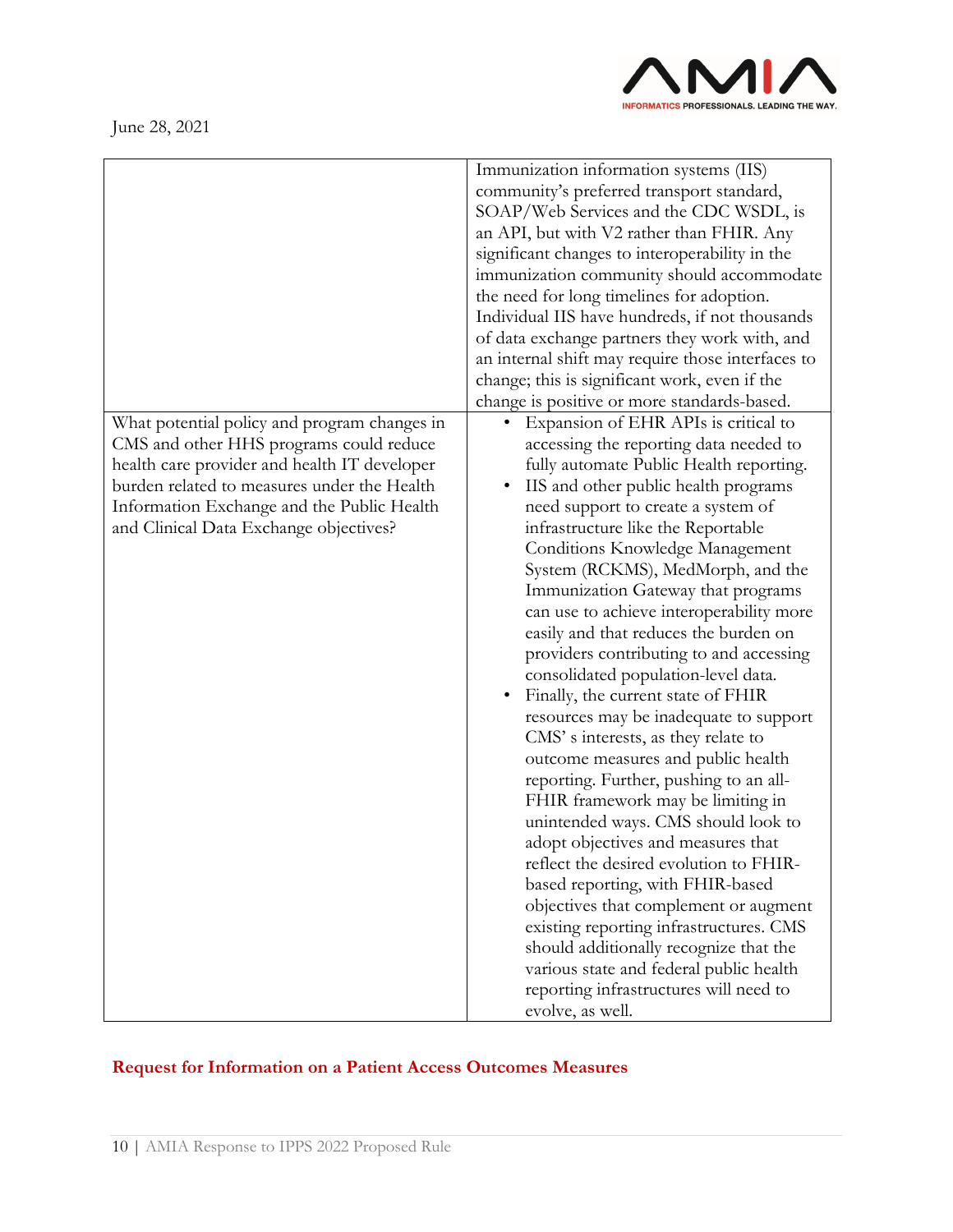



|                                                                                                                                                                                                                                                                                | Immunization information systems (IIS)<br>community's preferred transport standard,<br>SOAP/Web Services and the CDC WSDL, is<br>an API, but with V2 rather than FHIR. Any<br>significant changes to interoperability in the<br>immunization community should accommodate<br>the need for long timelines for adoption.<br>Individual IIS have hundreds, if not thousands<br>of data exchange partners they work with, and<br>an internal shift may require those interfaces to<br>change; this is significant work, even if the<br>change is positive or more standards-based.                                                                                                                                                                                                                                                                                                                                                                                                                                                                                                                                                                                                  |
|--------------------------------------------------------------------------------------------------------------------------------------------------------------------------------------------------------------------------------------------------------------------------------|---------------------------------------------------------------------------------------------------------------------------------------------------------------------------------------------------------------------------------------------------------------------------------------------------------------------------------------------------------------------------------------------------------------------------------------------------------------------------------------------------------------------------------------------------------------------------------------------------------------------------------------------------------------------------------------------------------------------------------------------------------------------------------------------------------------------------------------------------------------------------------------------------------------------------------------------------------------------------------------------------------------------------------------------------------------------------------------------------------------------------------------------------------------------------------|
| What potential policy and program changes in<br>CMS and other HHS programs could reduce<br>health care provider and health IT developer<br>burden related to measures under the Health<br>Information Exchange and the Public Health<br>and Clinical Data Exchange objectives? | Expansion of EHR APIs is critical to<br>accessing the reporting data needed to<br>fully automate Public Health reporting.<br>IIS and other public health programs<br>need support to create a system of<br>infrastructure like the Reportable<br>Conditions Knowledge Management<br>System (RCKMS), MedMorph, and the<br>Immunization Gateway that programs<br>can use to achieve interoperability more<br>easily and that reduces the burden on<br>providers contributing to and accessing<br>consolidated population-level data.<br>Finally, the current state of FHIR<br>resources may be inadequate to support<br>CMS's interests, as they relate to<br>outcome measures and public health<br>reporting. Further, pushing to an all-<br>FHIR framework may be limiting in<br>unintended ways. CMS should look to<br>adopt objectives and measures that<br>reflect the desired evolution to FHIR-<br>based reporting, with FHIR-based<br>objectives that complement or augment<br>existing reporting infrastructures. CMS<br>should additionally recognize that the<br>various state and federal public health<br>reporting infrastructures will need to<br>evolve, as well. |

# **Request for Information on a Patient Access Outcomes Measures**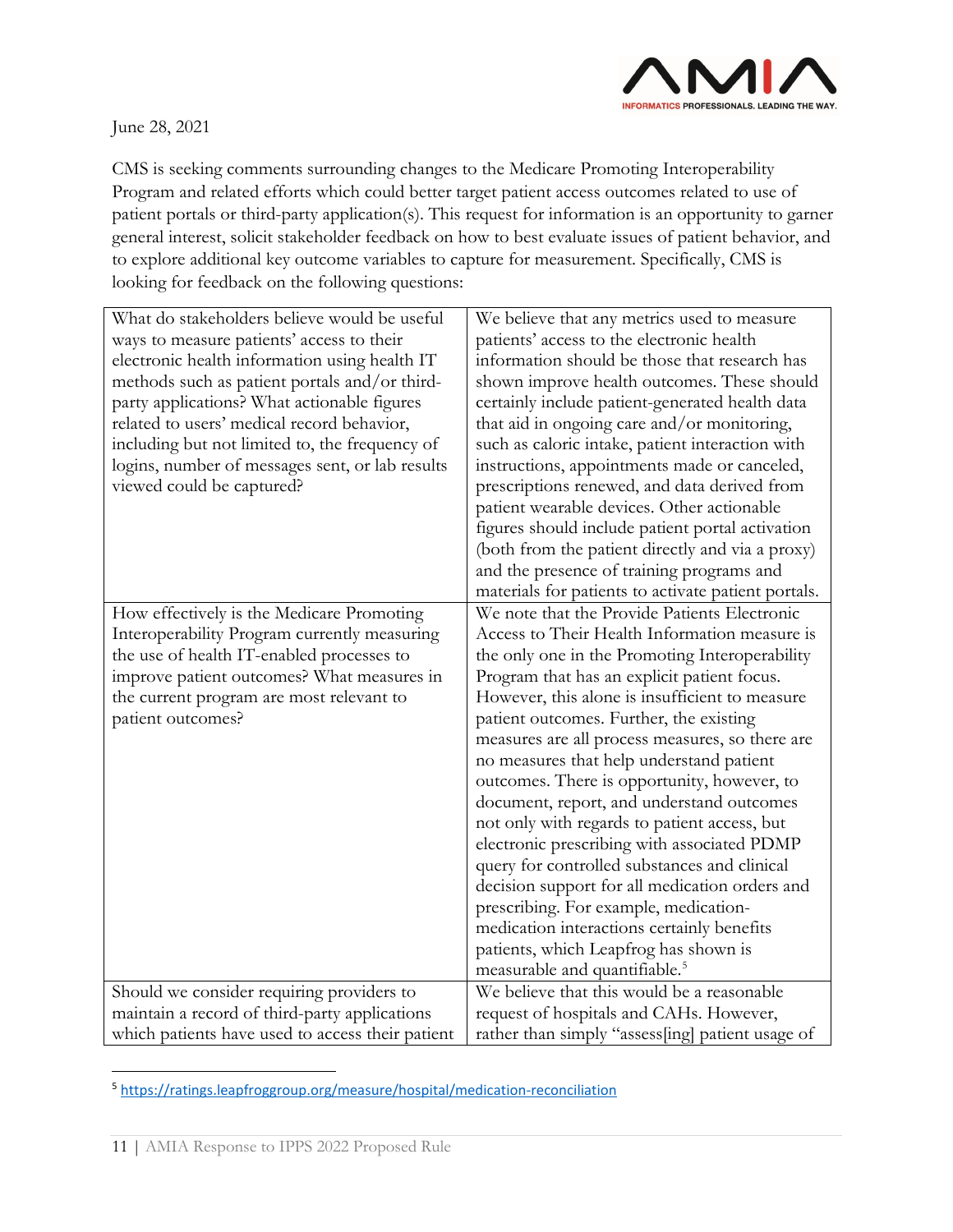

CMS is seeking comments surrounding changes to the Medicare Promoting Interoperability Program and related efforts which could better target patient access outcomes related to use of patient portals or third-party application(s). This request for information is an opportunity to garner general interest, solicit stakeholder feedback on how to best evaluate issues of patient behavior, and to explore additional key outcome variables to capture for measurement. Specifically, CMS is looking for feedback on the following questions:

| What do stakeholders believe would be useful<br>ways to measure patients' access to their<br>electronic health information using health IT<br>methods such as patient portals and/or third-<br>party applications? What actionable figures<br>related to users' medical record behavior,<br>including but not limited to, the frequency of<br>logins, number of messages sent, or lab results<br>viewed could be captured? | We believe that any metrics used to measure<br>patients' access to the electronic health<br>information should be those that research has<br>shown improve health outcomes. These should<br>certainly include patient-generated health data<br>that aid in ongoing care and/or monitoring,<br>such as caloric intake, patient interaction with<br>instructions, appointments made or canceled,<br>prescriptions renewed, and data derived from<br>patient wearable devices. Other actionable<br>figures should include patient portal activation<br>(both from the patient directly and via a proxy)<br>and the presence of training programs and<br>materials for patients to activate patient portals.                                                                                                             |
|----------------------------------------------------------------------------------------------------------------------------------------------------------------------------------------------------------------------------------------------------------------------------------------------------------------------------------------------------------------------------------------------------------------------------|----------------------------------------------------------------------------------------------------------------------------------------------------------------------------------------------------------------------------------------------------------------------------------------------------------------------------------------------------------------------------------------------------------------------------------------------------------------------------------------------------------------------------------------------------------------------------------------------------------------------------------------------------------------------------------------------------------------------------------------------------------------------------------------------------------------------|
| How effectively is the Medicare Promoting                                                                                                                                                                                                                                                                                                                                                                                  | We note that the Provide Patients Electronic                                                                                                                                                                                                                                                                                                                                                                                                                                                                                                                                                                                                                                                                                                                                                                         |
| Interoperability Program currently measuring<br>the use of health IT-enabled processes to<br>improve patient outcomes? What measures in<br>the current program are most relevant to<br>patient outcomes?                                                                                                                                                                                                                   | Access to Their Health Information measure is<br>the only one in the Promoting Interoperability<br>Program that has an explicit patient focus.<br>However, this alone is insufficient to measure<br>patient outcomes. Further, the existing<br>measures are all process measures, so there are<br>no measures that help understand patient<br>outcomes. There is opportunity, however, to<br>document, report, and understand outcomes<br>not only with regards to patient access, but<br>electronic prescribing with associated PDMP<br>query for controlled substances and clinical<br>decision support for all medication orders and<br>prescribing. For example, medication-<br>medication interactions certainly benefits<br>patients, which Leapfrog has shown is<br>measurable and quantifiable. <sup>5</sup> |
| Should we consider requiring providers to                                                                                                                                                                                                                                                                                                                                                                                  | We believe that this would be a reasonable                                                                                                                                                                                                                                                                                                                                                                                                                                                                                                                                                                                                                                                                                                                                                                           |
| maintain a record of third-party applications                                                                                                                                                                                                                                                                                                                                                                              | request of hospitals and CAHs. However,                                                                                                                                                                                                                                                                                                                                                                                                                                                                                                                                                                                                                                                                                                                                                                              |
| which patients have used to access their patient                                                                                                                                                                                                                                                                                                                                                                           | rather than simply "assess[ing] patient usage of                                                                                                                                                                                                                                                                                                                                                                                                                                                                                                                                                                                                                                                                                                                                                                     |

<span id="page-10-0"></span><sup>5</sup> <https://ratings.leapfroggroup.org/measure/hospital/medication-reconciliation>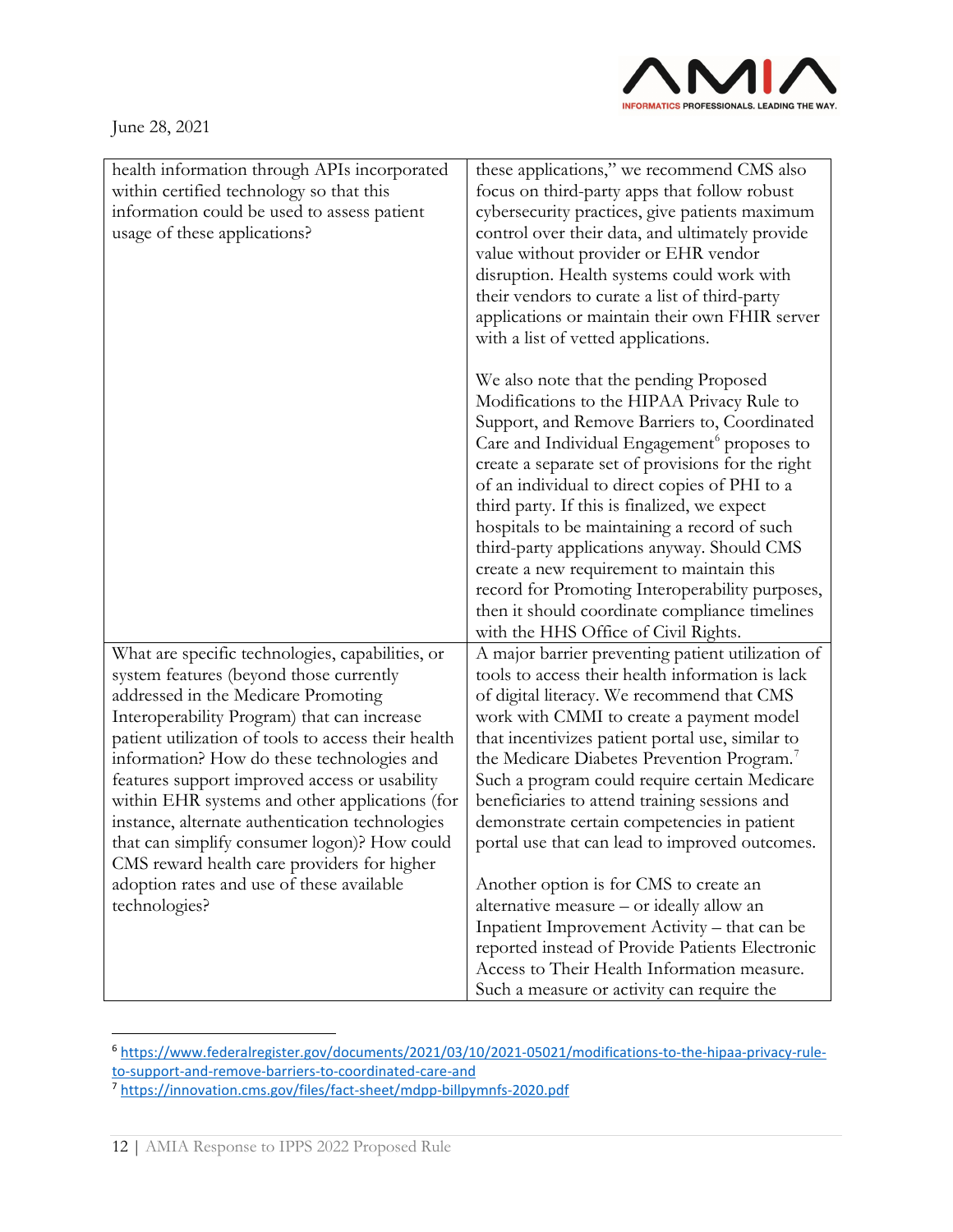

| health information through APIs incorporated<br>within certified technology so that this<br>information could be used to assess patient<br>usage of these applications?                                                                                                                                                                                                                                                                                                                                                                                                                                   | these applications," we recommend CMS also<br>focus on third-party apps that follow robust<br>cybersecurity practices, give patients maximum<br>control over their data, and ultimately provide<br>value without provider or EHR vendor<br>disruption. Health systems could work with<br>their vendors to curate a list of third-party<br>applications or maintain their own FHIR server<br>with a list of vetted applications.                                                                                                                                                                                                                                                                                                                                                                         |
|-----------------------------------------------------------------------------------------------------------------------------------------------------------------------------------------------------------------------------------------------------------------------------------------------------------------------------------------------------------------------------------------------------------------------------------------------------------------------------------------------------------------------------------------------------------------------------------------------------------|---------------------------------------------------------------------------------------------------------------------------------------------------------------------------------------------------------------------------------------------------------------------------------------------------------------------------------------------------------------------------------------------------------------------------------------------------------------------------------------------------------------------------------------------------------------------------------------------------------------------------------------------------------------------------------------------------------------------------------------------------------------------------------------------------------|
|                                                                                                                                                                                                                                                                                                                                                                                                                                                                                                                                                                                                           | We also note that the pending Proposed<br>Modifications to the HIPAA Privacy Rule to<br>Support, and Remove Barriers to, Coordinated<br>Care and Individual Engagement <sup>6</sup> proposes to<br>create a separate set of provisions for the right<br>of an individual to direct copies of PHI to a<br>third party. If this is finalized, we expect<br>hospitals to be maintaining a record of such<br>third-party applications anyway. Should CMS<br>create a new requirement to maintain this<br>record for Promoting Interoperability purposes,<br>then it should coordinate compliance timelines<br>with the HHS Office of Civil Rights.                                                                                                                                                          |
| What are specific technologies, capabilities, or<br>system features (beyond those currently<br>addressed in the Medicare Promoting<br>Interoperability Program) that can increase<br>patient utilization of tools to access their health<br>information? How do these technologies and<br>features support improved access or usability<br>within EHR systems and other applications (for<br>instance, alternate authentication technologies<br>that can simplify consumer logon)? How could<br>CMS reward health care providers for higher<br>adoption rates and use of these available<br>technologies? | A major barrier preventing patient utilization of<br>tools to access their health information is lack<br>of digital literacy. We recommend that CMS<br>work with CMMI to create a payment model<br>that incentivizes patient portal use, similar to<br>the Medicare Diabetes Prevention Program. <sup>7</sup><br>Such a program could require certain Medicare<br>beneficiaries to attend training sessions and<br>demonstrate certain competencies in patient<br>portal use that can lead to improved outcomes.<br>Another option is for CMS to create an<br>alternative measure – or ideally allow an<br>Inpatient Improvement Activity - that can be<br>reported instead of Provide Patients Electronic<br>Access to Their Health Information measure.<br>Such a measure or activity can require the |

<span id="page-11-0"></span><sup>6</sup> [https://www.federalregister.gov/documents/2021/03/10/2021-05021/modifications-to-the-hipaa-privacy-rule](https://www.federalregister.gov/documents/2021/03/10/2021-05021/modifications-to-the-hipaa-privacy-rule-to-support-and-remove-barriers-to-coordinated-care-and)[to-support-and-remove-barriers-to-coordinated-care-and](https://www.federalregister.gov/documents/2021/03/10/2021-05021/modifications-to-the-hipaa-privacy-rule-to-support-and-remove-barriers-to-coordinated-care-and)

<span id="page-11-1"></span><sup>7</sup> <https://innovation.cms.gov/files/fact-sheet/mdpp-billpymnfs-2020.pdf>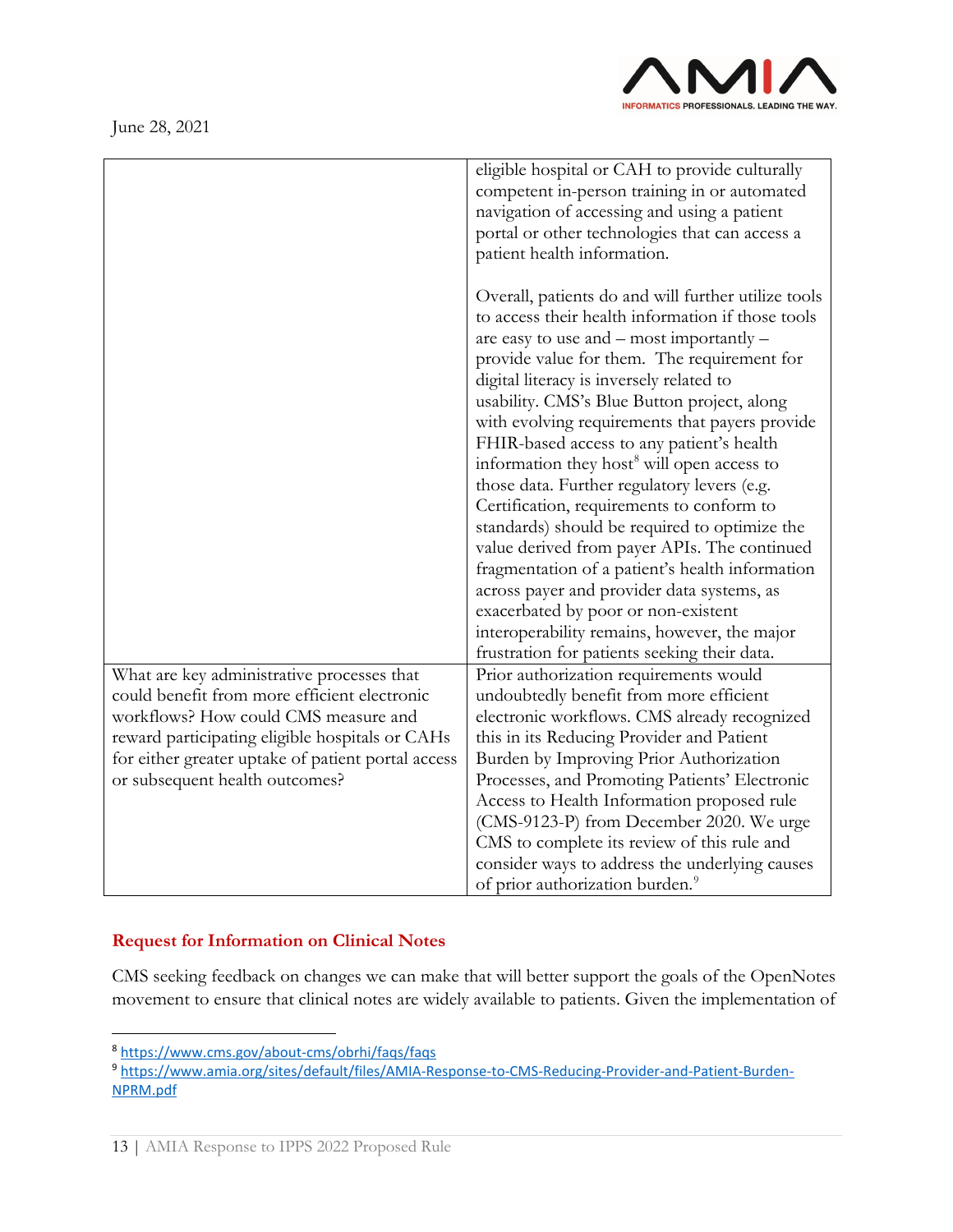

|                                                                                                       | eligible hospital or CAH to provide culturally<br>competent in-person training in or automated<br>navigation of accessing and using a patient<br>portal or other technologies that can access a<br>patient health information.                                                                                                                                                                                                                                                                                                                                                                                                                                                                                                                                                                                                                                                                   |
|-------------------------------------------------------------------------------------------------------|--------------------------------------------------------------------------------------------------------------------------------------------------------------------------------------------------------------------------------------------------------------------------------------------------------------------------------------------------------------------------------------------------------------------------------------------------------------------------------------------------------------------------------------------------------------------------------------------------------------------------------------------------------------------------------------------------------------------------------------------------------------------------------------------------------------------------------------------------------------------------------------------------|
|                                                                                                       | Overall, patients do and will further utilize tools<br>to access their health information if those tools<br>are easy to use and $-$ most importantly $-$<br>provide value for them. The requirement for<br>digital literacy is inversely related to<br>usability. CMS's Blue Button project, along<br>with evolving requirements that payers provide<br>FHIR-based access to any patient's health<br>information they host <sup>8</sup> will open access to<br>those data. Further regulatory levers (e.g.<br>Certification, requirements to conform to<br>standards) should be required to optimize the<br>value derived from payer APIs. The continued<br>fragmentation of a patient's health information<br>across payer and provider data systems, as<br>exacerbated by poor or non-existent<br>interoperability remains, however, the major<br>frustration for patients seeking their data. |
| What are key administrative processes that                                                            | Prior authorization requirements would                                                                                                                                                                                                                                                                                                                                                                                                                                                                                                                                                                                                                                                                                                                                                                                                                                                           |
| could benefit from more efficient electronic                                                          | undoubtedly benefit from more efficient                                                                                                                                                                                                                                                                                                                                                                                                                                                                                                                                                                                                                                                                                                                                                                                                                                                          |
| workflows? How could CMS measure and                                                                  | electronic workflows. CMS already recognized<br>this in its Reducing Provider and Patient                                                                                                                                                                                                                                                                                                                                                                                                                                                                                                                                                                                                                                                                                                                                                                                                        |
| reward participating eligible hospitals or CAHs<br>for either greater uptake of patient portal access | Burden by Improving Prior Authorization                                                                                                                                                                                                                                                                                                                                                                                                                                                                                                                                                                                                                                                                                                                                                                                                                                                          |
| or subsequent health outcomes?                                                                        | Processes, and Promoting Patients' Electronic                                                                                                                                                                                                                                                                                                                                                                                                                                                                                                                                                                                                                                                                                                                                                                                                                                                    |
|                                                                                                       | Access to Health Information proposed rule                                                                                                                                                                                                                                                                                                                                                                                                                                                                                                                                                                                                                                                                                                                                                                                                                                                       |
|                                                                                                       | (CMS-9123-P) from December 2020. We urge                                                                                                                                                                                                                                                                                                                                                                                                                                                                                                                                                                                                                                                                                                                                                                                                                                                         |
|                                                                                                       | CMS to complete its review of this rule and                                                                                                                                                                                                                                                                                                                                                                                                                                                                                                                                                                                                                                                                                                                                                                                                                                                      |
|                                                                                                       | consider ways to address the underlying causes                                                                                                                                                                                                                                                                                                                                                                                                                                                                                                                                                                                                                                                                                                                                                                                                                                                   |
|                                                                                                       | of prior authorization burden. <sup>9</sup>                                                                                                                                                                                                                                                                                                                                                                                                                                                                                                                                                                                                                                                                                                                                                                                                                                                      |

# **Request for Information on Clinical Notes**

CMS seeking feedback on changes we can make that will better support the goals of the OpenNotes movement to ensure that clinical notes are widely available to patients. Given the implementation of

<span id="page-12-0"></span><sup>8</sup> <https://www.cms.gov/about-cms/obrhi/faqs/faqs>

<span id="page-12-1"></span><sup>9</sup> [https://www.amia.org/sites/default/files/AMIA-Response-to-CMS-Reducing-Provider-and-Patient-Burden-](https://www.amia.org/sites/default/files/AMIA-Response-to-CMS-Reducing-Provider-and-Patient-Burden-NPRM.pdf)[NPRM.pdf](https://www.amia.org/sites/default/files/AMIA-Response-to-CMS-Reducing-Provider-and-Patient-Burden-NPRM.pdf)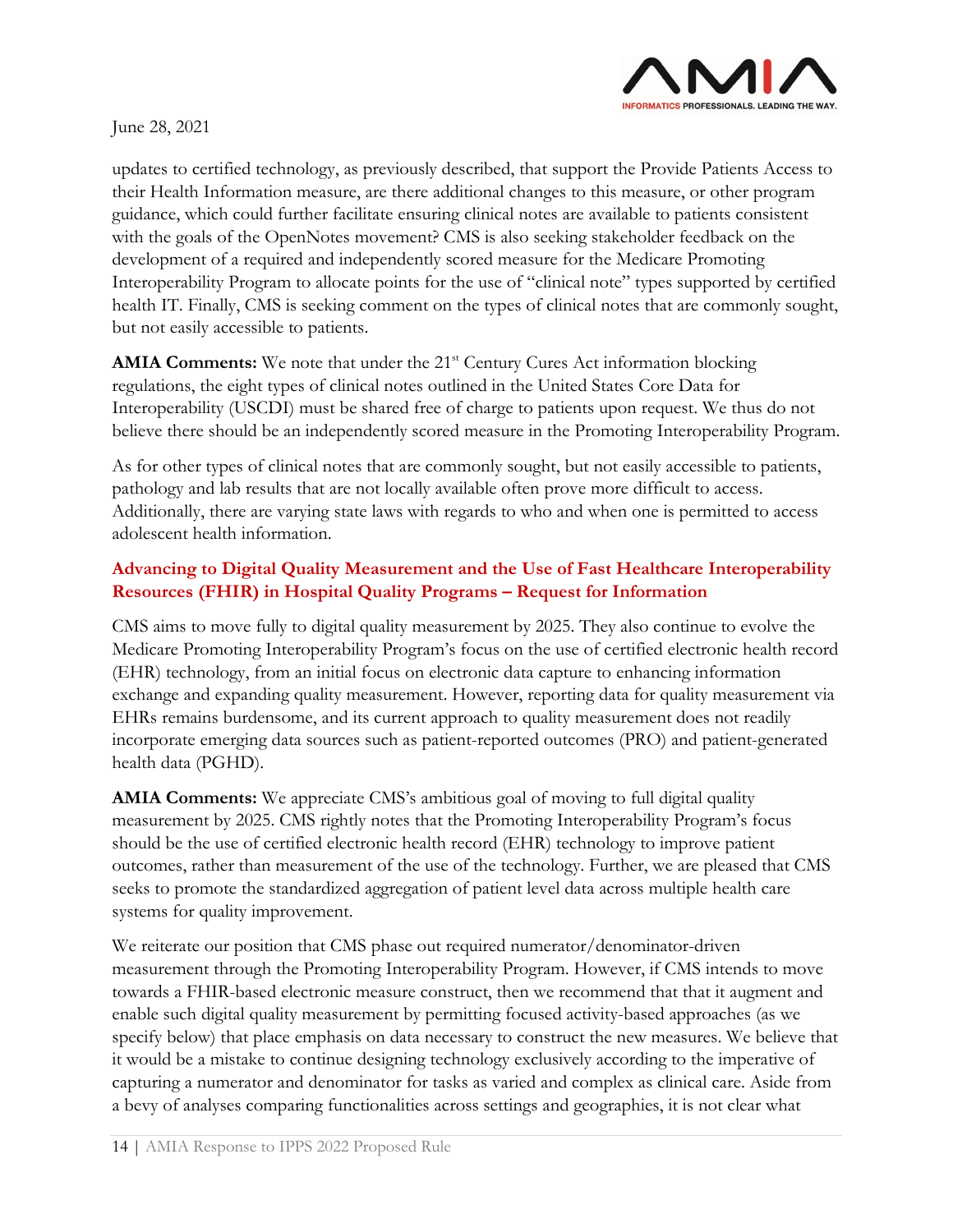

updates to certified technology, as previously described, that support the Provide Patients Access to their Health Information measure, are there additional changes to this measure, or other program guidance, which could further facilitate ensuring clinical notes are available to patients consistent with the goals of the OpenNotes movement? CMS is also seeking stakeholder feedback on the development of a required and independently scored measure for the Medicare Promoting Interoperability Program to allocate points for the use of "clinical note" types supported by certified health IT. Finally, CMS is seeking comment on the types of clinical notes that are commonly sought, but not easily accessible to patients.

**AMIA Comments:** We note that under the 21<sup>st</sup> Century Cures Act information blocking regulations, the eight types of clinical notes outlined in the United States Core Data for Interoperability (USCDI) must be shared free of charge to patients upon request. We thus do not believe there should be an independently scored measure in the Promoting Interoperability Program.

As for other types of clinical notes that are commonly sought, but not easily accessible to patients, pathology and lab results that are not locally available often prove more difficult to access. Additionally, there are varying state laws with regards to who and when one is permitted to access adolescent health information.

# **Advancing to Digital Quality Measurement and the Use of Fast Healthcare Interoperability Resources (FHIR) in Hospital Quality Programs – Request for Information**

CMS aims to move fully to digital quality measurement by 2025. They also continue to evolve the Medicare Promoting Interoperability Program's focus on the use of certified electronic health record (EHR) technology, from an initial focus on electronic data capture to enhancing information exchange and expanding quality measurement. However, reporting data for quality measurement via EHRs remains burdensome, and its current approach to quality measurement does not readily incorporate emerging data sources such as patient-reported outcomes (PRO) and patient-generated health data (PGHD).

**AMIA Comments:** We appreciate CMS's ambitious goal of moving to full digital quality measurement by 2025. CMS rightly notes that the Promoting Interoperability Program's focus should be the use of certified electronic health record (EHR) technology to improve patient outcomes, rather than measurement of the use of the technology. Further, we are pleased that CMS seeks to promote the standardized aggregation of patient level data across multiple health care systems for quality improvement.

We reiterate our position that CMS phase out required numerator/denominator-driven measurement through the Promoting Interoperability Program. However, if CMS intends to move towards a FHIR-based electronic measure construct, then we recommend that that it augment and enable such digital quality measurement by permitting focused activity-based approaches (as we specify below) that place emphasis on data necessary to construct the new measures. We believe that it would be a mistake to continue designing technology exclusively according to the imperative of capturing a numerator and denominator for tasks as varied and complex as clinical care. Aside from a bevy of analyses comparing functionalities across settings and geographies, it is not clear what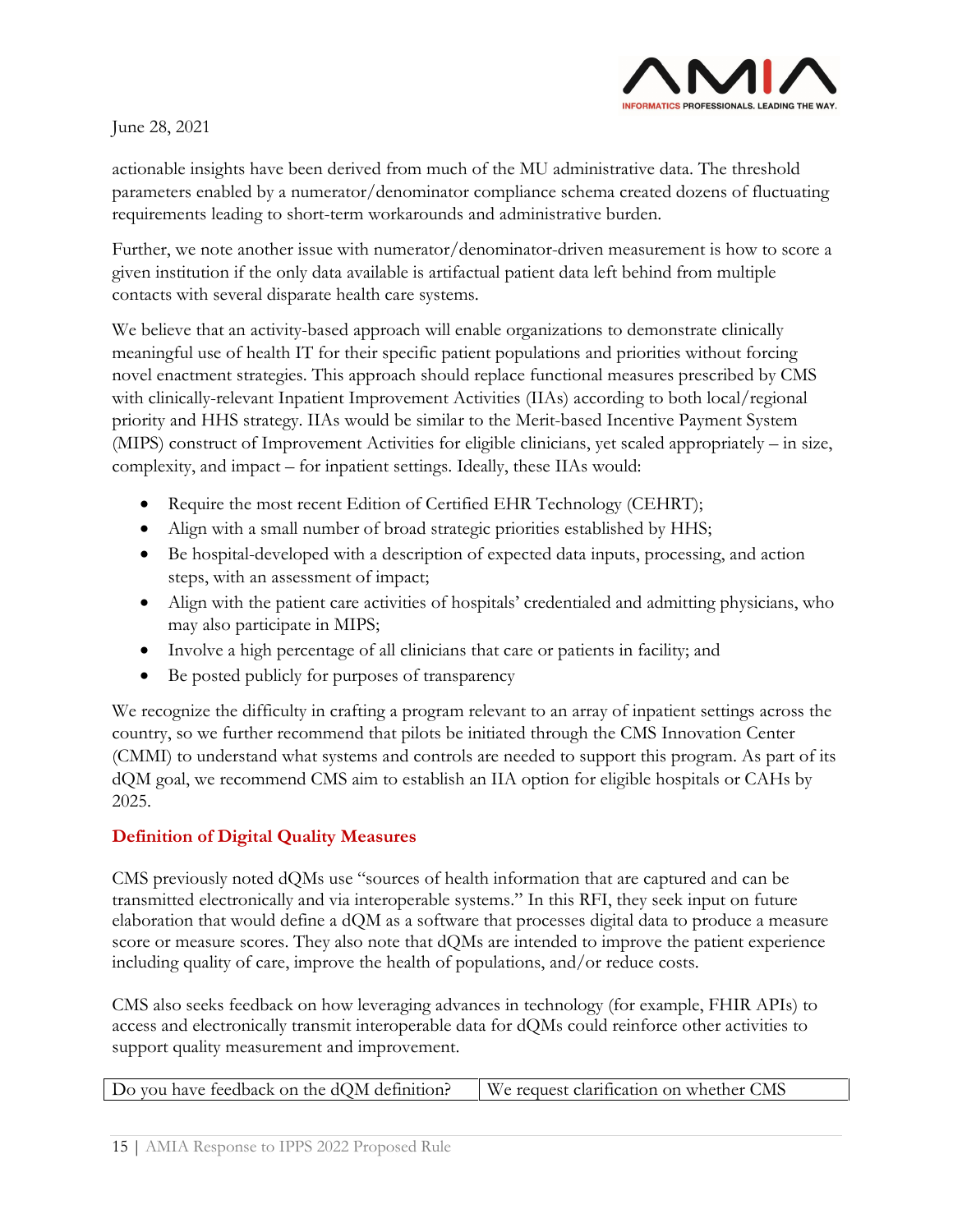

actionable insights have been derived from much of the MU administrative data. The threshold parameters enabled by a numerator/denominator compliance schema created dozens of fluctuating requirements leading to short-term workarounds and administrative burden.

Further, we note another issue with numerator/denominator-driven measurement is how to score a given institution if the only data available is artifactual patient data left behind from multiple contacts with several disparate health care systems.

We believe that an activity-based approach will enable organizations to demonstrate clinically meaningful use of health IT for their specific patient populations and priorities without forcing novel enactment strategies. This approach should replace functional measures prescribed by CMS with clinically-relevant Inpatient Improvement Activities (IIAs) according to both local/regional priority and HHS strategy. IIAs would be similar to the Merit-based Incentive Payment System (MIPS) construct of Improvement Activities for eligible clinicians, yet scaled appropriately – in size, complexity, and impact – for inpatient settings. Ideally, these IIAs would:

- Require the most recent Edition of Certified EHR Technology (CEHRT);
- Align with a small number of broad strategic priorities established by HHS;
- Be hospital-developed with a description of expected data inputs, processing, and action steps, with an assessment of impact;
- Align with the patient care activities of hospitals' credentialed and admitting physicians, who may also participate in MIPS;
- Involve a high percentage of all clinicians that care or patients in facility; and
- Be posted publicly for purposes of transparency

We recognize the difficulty in crafting a program relevant to an array of inpatient settings across the country, so we further recommend that pilots be initiated through the CMS Innovation Center (CMMI) to understand what systems and controls are needed to support this program. As part of its dQM goal, we recommend CMS aim to establish an IIA option for eligible hospitals or CAHs by 2025.

### **Definition of Digital Quality Measures**

CMS previously noted dQMs use "sources of health information that are captured and can be transmitted electronically and via interoperable systems." In this RFI, they seek input on future elaboration that would define a dQM as a software that processes digital data to produce a measure score or measure scores. They also note that dQMs are intended to improve the patient experience including quality of care, improve the health of populations, and/or reduce costs.

CMS also seeks feedback on how leveraging advances in technology (for example, FHIR APIs) to access and electronically transmit interoperable data for dQMs could reinforce other activities to support quality measurement and improvement.

|  | Do you have feedback on the $dQM$ definition? $\parallel$ We request clarification on whether CMS |  |
|--|---------------------------------------------------------------------------------------------------|--|
|--|---------------------------------------------------------------------------------------------------|--|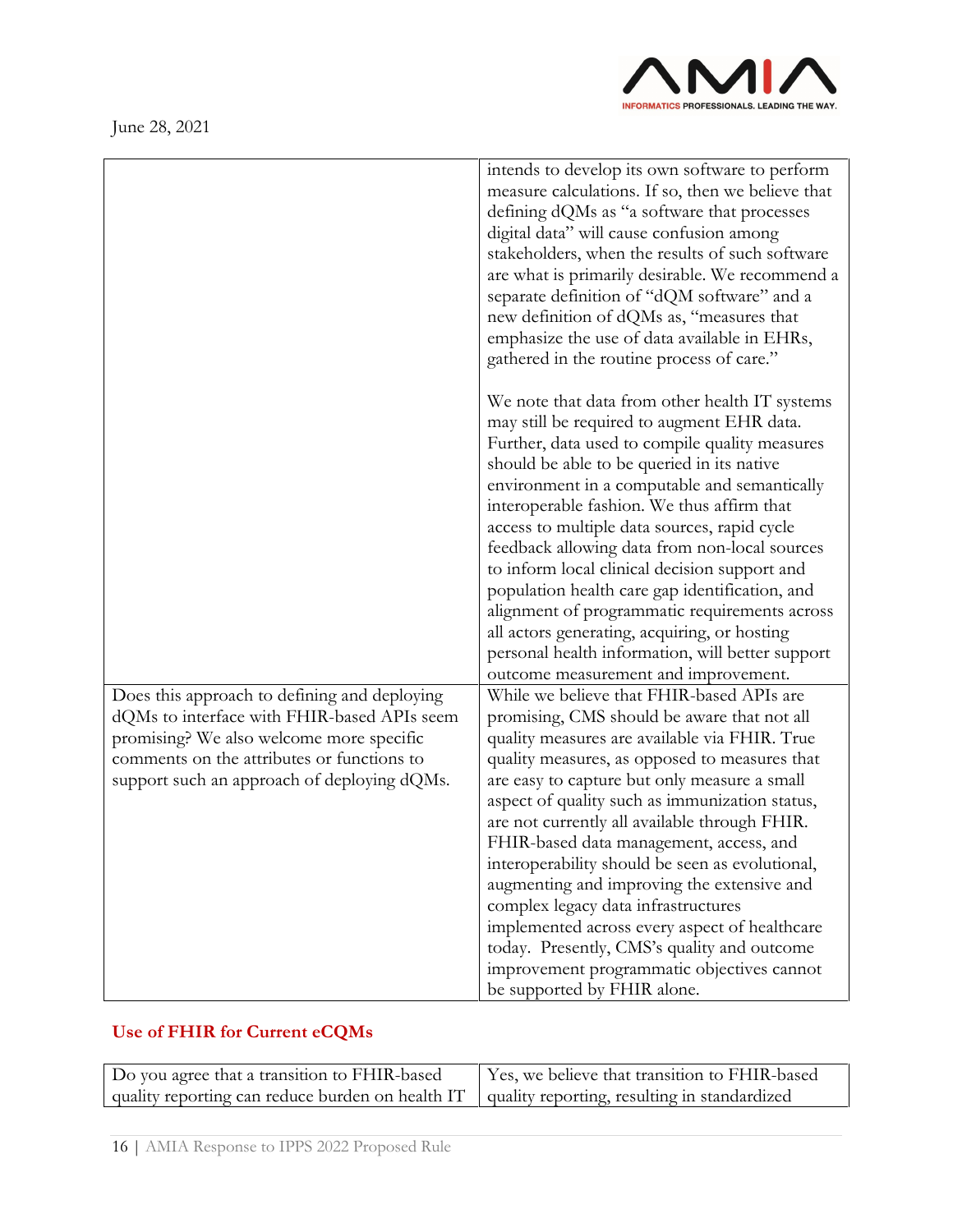

|                                                                                             | intends to develop its own software to perform<br>measure calculations. If so, then we believe that<br>defining dQMs as "a software that processes<br>digital data" will cause confusion among<br>stakeholders, when the results of such software<br>are what is primarily desirable. We recommend a<br>separate definition of "dQM software" and a<br>new definition of dQMs as, "measures that<br>emphasize the use of data available in EHRs,<br>gathered in the routine process of care." |
|---------------------------------------------------------------------------------------------|-----------------------------------------------------------------------------------------------------------------------------------------------------------------------------------------------------------------------------------------------------------------------------------------------------------------------------------------------------------------------------------------------------------------------------------------------------------------------------------------------|
|                                                                                             | We note that data from other health IT systems<br>may still be required to augment EHR data.<br>Further, data used to compile quality measures<br>should be able to be queried in its native<br>environment in a computable and semantically                                                                                                                                                                                                                                                  |
|                                                                                             | interoperable fashion. We thus affirm that<br>access to multiple data sources, rapid cycle<br>feedback allowing data from non-local sources<br>to inform local clinical decision support and                                                                                                                                                                                                                                                                                                  |
|                                                                                             | population health care gap identification, and<br>alignment of programmatic requirements across<br>all actors generating, acquiring, or hosting                                                                                                                                                                                                                                                                                                                                               |
|                                                                                             | personal health information, will better support<br>outcome measurement and improvement.                                                                                                                                                                                                                                                                                                                                                                                                      |
| Does this approach to defining and deploying<br>dQMs to interface with FHIR-based APIs seem | While we believe that FHIR-based APIs are<br>promising, CMS should be aware that not all                                                                                                                                                                                                                                                                                                                                                                                                      |
| promising? We also welcome more specific                                                    | quality measures are available via FHIR. True                                                                                                                                                                                                                                                                                                                                                                                                                                                 |
| comments on the attributes or functions to<br>support such an approach of deploying dQMs.   | quality measures, as opposed to measures that<br>are easy to capture but only measure a small<br>aspect of quality such as immunization status,                                                                                                                                                                                                                                                                                                                                               |
|                                                                                             | are not currently all available through FHIR.                                                                                                                                                                                                                                                                                                                                                                                                                                                 |
|                                                                                             | FHIR-based data management, access, and                                                                                                                                                                                                                                                                                                                                                                                                                                                       |
|                                                                                             | interoperability should be seen as evolutional,<br>augmenting and improving the extensive and                                                                                                                                                                                                                                                                                                                                                                                                 |
|                                                                                             | complex legacy data infrastructures                                                                                                                                                                                                                                                                                                                                                                                                                                                           |
|                                                                                             | implemented across every aspect of healthcare                                                                                                                                                                                                                                                                                                                                                                                                                                                 |
|                                                                                             | today. Presently, CMS's quality and outcome                                                                                                                                                                                                                                                                                                                                                                                                                                                   |
|                                                                                             | improvement programmatic objectives cannot                                                                                                                                                                                                                                                                                                                                                                                                                                                    |
|                                                                                             | be supported by FHIR alone.                                                                                                                                                                                                                                                                                                                                                                                                                                                                   |

# **Use of FHIR for Current eCQMs**

| Do you agree that a transition to FHIR-based                                                    | Yes, we believe that transition to FHIR-based |
|-------------------------------------------------------------------------------------------------|-----------------------------------------------|
| quality reporting can reduce burden on health IT   quality reporting, resulting in standardized |                                               |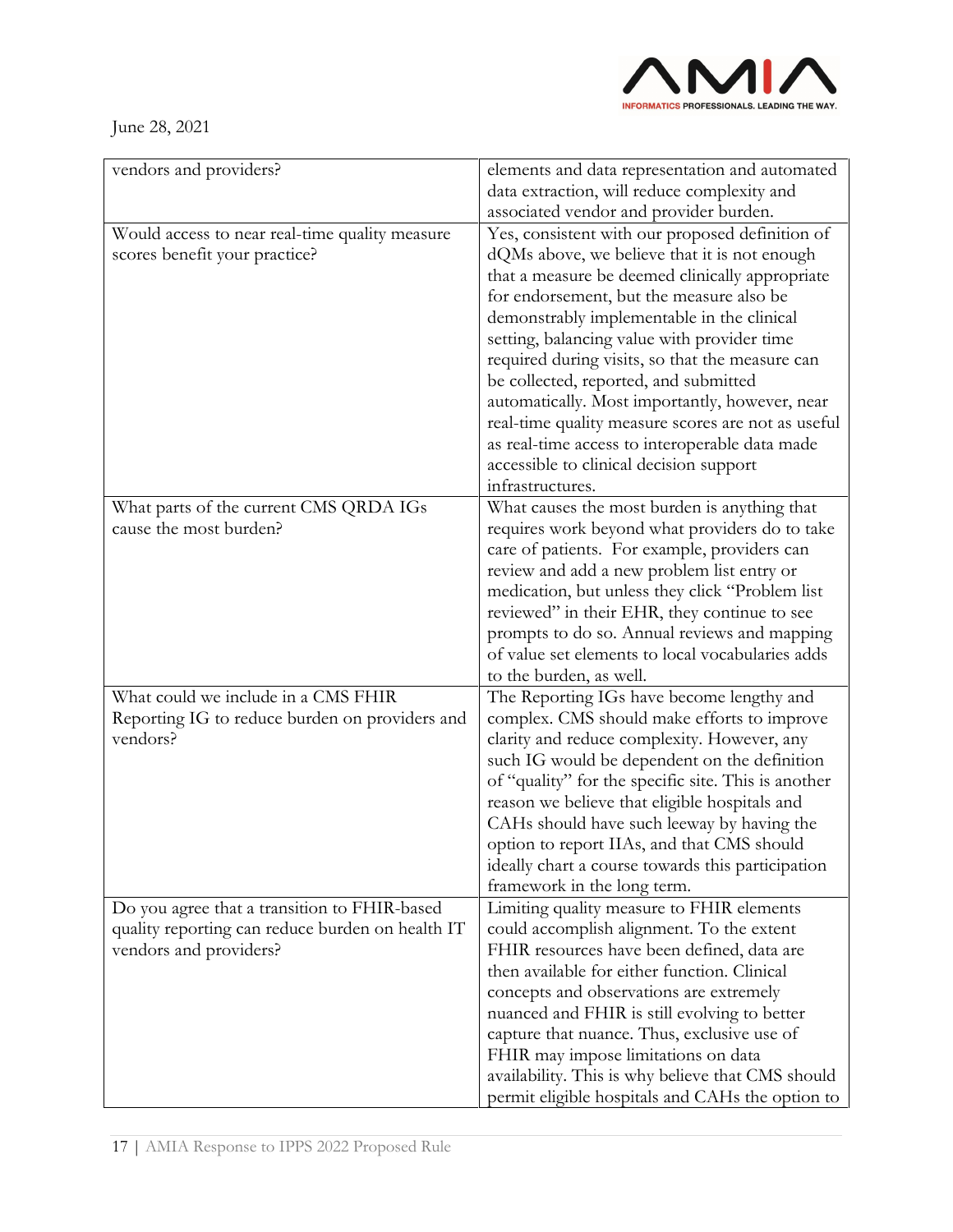

| vendors and providers?                                     | elements and data representation and automated                                                       |
|------------------------------------------------------------|------------------------------------------------------------------------------------------------------|
|                                                            | data extraction, will reduce complexity and                                                          |
|                                                            | associated vendor and provider burden.                                                               |
| Would access to near real-time quality measure             | Yes, consistent with our proposed definition of                                                      |
| scores benefit your practice?                              | dQMs above, we believe that it is not enough                                                         |
|                                                            | that a measure be deemed clinically appropriate                                                      |
|                                                            | for endorsement, but the measure also be                                                             |
|                                                            | demonstrably implementable in the clinical                                                           |
|                                                            | setting, balancing value with provider time                                                          |
|                                                            | required during visits, so that the measure can                                                      |
|                                                            | be collected, reported, and submitted                                                                |
|                                                            | automatically. Most importantly, however, near                                                       |
|                                                            | real-time quality measure scores are not as useful                                                   |
|                                                            | as real-time access to interoperable data made                                                       |
|                                                            | accessible to clinical decision support                                                              |
|                                                            | infrastructures.                                                                                     |
| What parts of the current CMS QRDA IGs                     | What causes the most burden is anything that                                                         |
| cause the most burden?                                     | requires work beyond what providers do to take                                                       |
|                                                            | care of patients. For example, providers can                                                         |
|                                                            | review and add a new problem list entry or                                                           |
|                                                            | medication, but unless they click "Problem list                                                      |
|                                                            | reviewed" in their EHR, they continue to see                                                         |
|                                                            | prompts to do so. Annual reviews and mapping                                                         |
|                                                            | of value set elements to local vocabularies adds                                                     |
|                                                            | to the burden, as well.                                                                              |
| What could we include in a CMS FHIR                        | The Reporting IGs have become lengthy and                                                            |
| Reporting IG to reduce burden on providers and<br>vendors? | complex. CMS should make efforts to improve                                                          |
|                                                            | clarity and reduce complexity. However, any                                                          |
|                                                            | such IG would be dependent on the definition                                                         |
|                                                            | of "quality" for the specific site. This is another<br>reason we believe that eligible hospitals and |
|                                                            | CAHs should have such leeway by having the                                                           |
|                                                            | option to report IIAs, and that CMS should                                                           |
|                                                            | ideally chart a course towards this participation                                                    |
|                                                            | framework in the long term.                                                                          |
| Do you agree that a transition to FHIR-based               | Limiting quality measure to FHIR elements                                                            |
| quality reporting can reduce burden on health IT           | could accomplish alignment. To the extent                                                            |
| vendors and providers?                                     | FHIR resources have been defined, data are                                                           |
|                                                            | then available for either function. Clinical                                                         |
|                                                            | concepts and observations are extremely                                                              |
|                                                            | nuanced and FHIR is still evolving to better                                                         |
|                                                            | capture that nuance. Thus, exclusive use of                                                          |
|                                                            | FHIR may impose limitations on data                                                                  |
|                                                            | availability. This is why believe that CMS should                                                    |
|                                                            | permit eligible hospitals and CAHs the option to                                                     |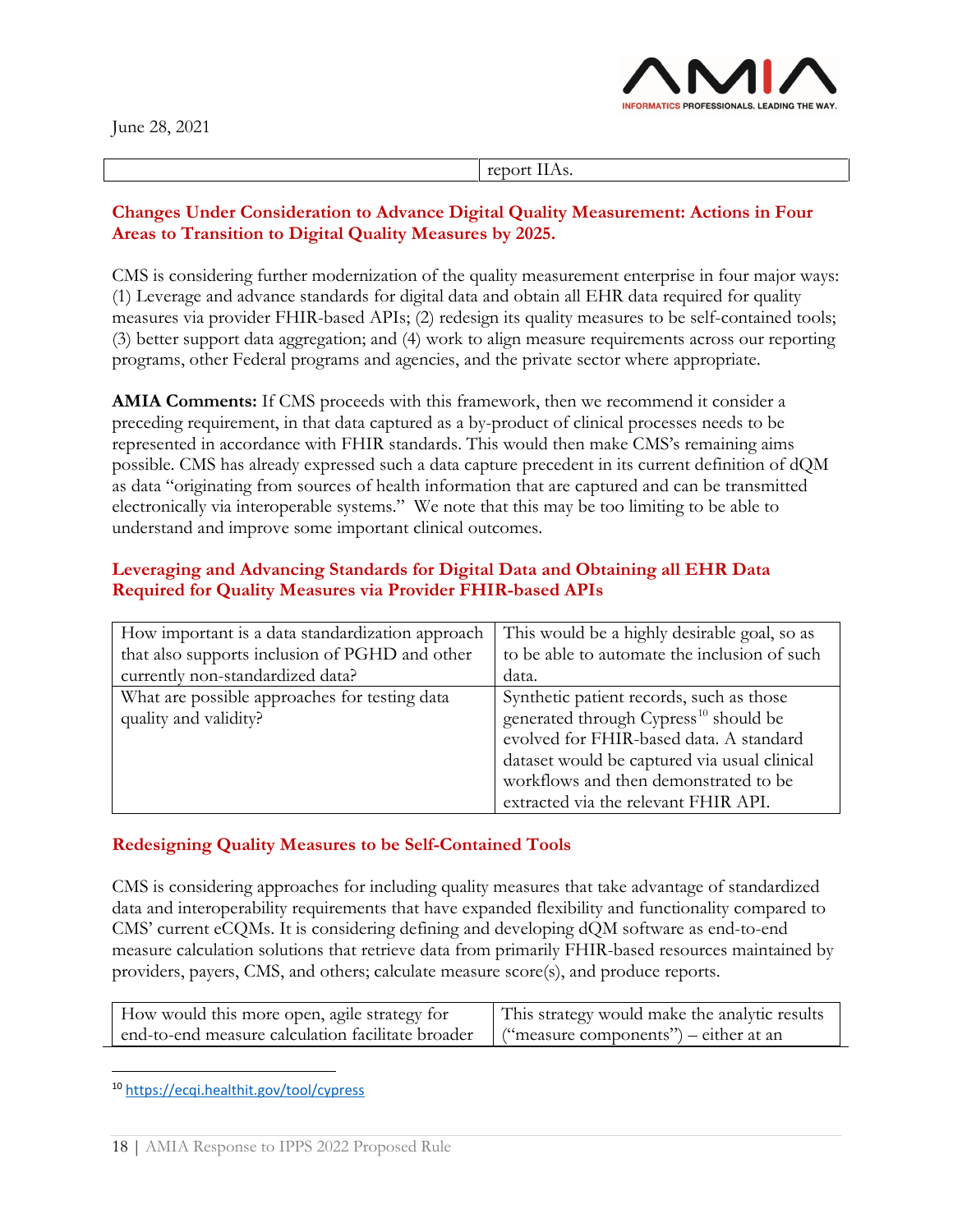

report IIAs.

#### **Changes Under Consideration to Advance Digital Quality Measurement: Actions in Four Areas to Transition to Digital Quality Measures by 2025.**

CMS is considering further modernization of the quality measurement enterprise in four major ways: (1) Leverage and advance standards for digital data and obtain all EHR data required for quality measures via provider FHIR-based APIs; (2) redesign its quality measures to be self-contained tools; (3) better support data aggregation; and (4) work to align measure requirements across our reporting programs, other Federal programs and agencies, and the private sector where appropriate.

**AMIA Comments:** If CMS proceeds with this framework, then we recommend it consider a preceding requirement, in that data captured as a by-product of clinical processes needs to be represented in accordance with FHIR standards. This would then make CMS's remaining aims possible. CMS has already expressed such a data capture precedent in its current definition of dQM as data "originating from sources of health information that are captured and can be transmitted electronically via interoperable systems." We note that this may be too limiting to be able to understand and improve some important clinical outcomes.

## **Leveraging and Advancing Standards for Digital Data and Obtaining all EHR Data Required for Quality Measures via Provider FHIR-based APIs**

| How important is a data standardization approach                       | This would be a highly desirable goal, so as                                                                                                                                                                                                                              |
|------------------------------------------------------------------------|---------------------------------------------------------------------------------------------------------------------------------------------------------------------------------------------------------------------------------------------------------------------------|
| that also supports inclusion of PGHD and other                         | to be able to automate the inclusion of such                                                                                                                                                                                                                              |
| currently non-standardized data?                                       | data.                                                                                                                                                                                                                                                                     |
| What are possible approaches for testing data<br>quality and validity? | Synthetic patient records, such as those<br>generated through Cypress <sup>10</sup> should be<br>evolved for FHIR-based data. A standard<br>dataset would be captured via usual clinical<br>workflows and then demonstrated to be<br>extracted via the relevant FHIR API. |

### **Redesigning Quality Measures to be Self-Contained Tools**

CMS is considering approaches for including quality measures that take advantage of standardized data and interoperability requirements that have expanded flexibility and functionality compared to CMS' current eCQMs. It is considering defining and developing dQM software as end-to-end measure calculation solutions that retrieve data from primarily FHIR-based resources maintained by providers, payers, CMS, and others; calculate measure score(s), and produce reports.

| How would this more open, agile strategy for      | This strategy would make the analytic results |
|---------------------------------------------------|-----------------------------------------------|
| end-to-end measure calculation facilitate broader | ("measure components") – either at an         |

<span id="page-17-0"></span><sup>10</sup> <https://ecqi.healthit.gov/tool/cypress>